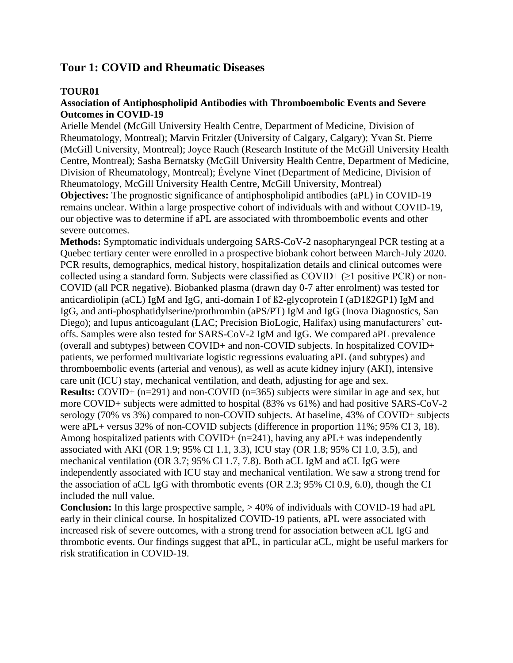## **Tour 1: COVID and Rheumatic Diseases**

### **TOUR01**

### **Association of Antiphospholipid Antibodies with Thromboembolic Events and Severe Outcomes in COVID-19**

Arielle Mendel (McGill University Health Centre, Department of Medicine, Division of Rheumatology, Montreal); Marvin Fritzler (University of Calgary, Calgary); Yvan St. Pierre (McGill University, Montreal); Joyce Rauch (Research Institute of the McGill University Health Centre, Montreal); Sasha Bernatsky (McGill University Health Centre, Department of Medicine, Division of Rheumatology, Montreal); Évelyne Vinet (Department of Medicine, Division of Rheumatology, McGill University Health Centre, McGill University, Montreal)

**Objectives:** The prognostic significance of antiphospholipid antibodies (aPL) in COVID-19 remains unclear. Within a large prospective cohort of individuals with and without COVID-19, our objective was to determine if aPL are associated with thromboembolic events and other severe outcomes.

**Methods:** Symptomatic individuals undergoing SARS-CoV-2 nasopharyngeal PCR testing at a Quebec tertiary center were enrolled in a prospective biobank cohort between March-July 2020. PCR results, demographics, medical history, hospitalization details and clinical outcomes were collected using a standard form. Subjects were classified as  $COVID+ (\geq 1$  positive PCR) or non-COVID (all PCR negative). Biobanked plasma (drawn day 0-7 after enrolment) was tested for anticardiolipin (aCL) IgM and IgG, anti-domain I of ß2-glycoprotein I (aD1ß2GP1) IgM and IgG, and anti-phosphatidylserine/prothrombin (aPS/PT) IgM and IgG (Inova Diagnostics, San Diego); and lupus anticoagulant (LAC; Precision BioLogic, Halifax) using manufacturers' cutoffs. Samples were also tested for SARS-CoV-2 IgM and IgG. We compared aPL prevalence (overall and subtypes) between COVID+ and non-COVID subjects. In hospitalized COVID+ patients, we performed multivariate logistic regressions evaluating aPL (and subtypes) and thromboembolic events (arterial and venous), as well as acute kidney injury (AKI), intensive care unit (ICU) stay, mechanical ventilation, and death, adjusting for age and sex.

**Results:** COVID+ (n=291) and non-COVID (n=365) subjects were similar in age and sex, but more COVID+ subjects were admitted to hospital (83% vs 61%) and had positive SARS-CoV-2 serology (70% vs 3%) compared to non-COVID subjects. At baseline, 43% of COVID+ subjects were aPL+ versus 32% of non-COVID subjects (difference in proportion 11%; 95% CI 3, 18). Among hospitalized patients with COVID+  $(n=241)$ , having any aPL+ was independently associated with AKI (OR 1.9; 95% CI 1.1, 3.3), ICU stay (OR 1.8; 95% CI 1.0, 3.5), and mechanical ventilation (OR 3.7; 95% CI 1.7, 7.8). Both aCL IgM and aCL IgG were independently associated with ICU stay and mechanical ventilation. We saw a strong trend for the association of aCL IgG with thrombotic events (OR 2.3; 95% CI 0.9, 6.0), though the CI included the null value.

**Conclusion:** In this large prospective sample, > 40% of individuals with COVID-19 had aPL early in their clinical course. In hospitalized COVID-19 patients, aPL were associated with increased risk of severe outcomes, with a strong trend for association between aCL IgG and thrombotic events. Our findings suggest that aPL, in particular aCL, might be useful markers for risk stratification in COVID-19.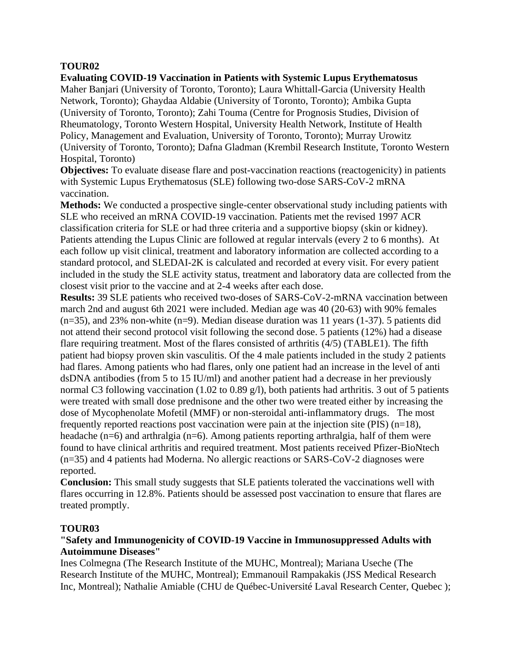**Evaluating COVID-19 Vaccination in Patients with Systemic Lupus Erythematosus** Maher Banjari (University of Toronto, Toronto); Laura Whittall-Garcia (University Health Network, Toronto); Ghaydaa Aldabie (University of Toronto, Toronto); Ambika Gupta (University of Toronto, Toronto); Zahi Touma (Centre for Prognosis Studies, Division of Rheumatology, Toronto Western Hospital, University Health Network, Institute of Health Policy, Management and Evaluation, University of Toronto, Toronto); Murray Urowitz (University of Toronto, Toronto); Dafna Gladman (Krembil Research Institute, Toronto Western Hospital, Toronto)

**Objectives:** To evaluate disease flare and post-vaccination reactions (reactogenicity) in patients with Systemic Lupus Erythematosus (SLE) following two-dose SARS-CoV-2 mRNA vaccination.

**Methods:** We conducted a prospective single-center observational study including patients with SLE who received an mRNA COVID-19 vaccination. Patients met the revised 1997 ACR classification criteria for SLE or had three criteria and a supportive biopsy (skin or kidney). Patients attending the Lupus Clinic are followed at regular intervals (every 2 to 6 months). At each follow up visit clinical, treatment and laboratory information are collected according to a standard protocol, and SLEDAI-2K is calculated and recorded at every visit. For every patient included in the study the SLE activity status, treatment and laboratory data are collected from the closest visit prior to the vaccine and at 2-4 weeks after each dose.

**Results:** 39 SLE patients who received two-doses of SARS-CoV-2-mRNA vaccination between march 2nd and august 6th 2021 were included. Median age was 40 (20-63) with 90% females  $(n=35)$ , and 23% non-white  $(n=9)$ . Median disease duration was 11 years  $(1-37)$ . 5 patients did not attend their second protocol visit following the second dose. 5 patients (12%) had a disease flare requiring treatment. Most of the flares consisted of arthritis (4/5) (TABLE1). The fifth patient had biopsy proven skin vasculitis. Of the 4 male patients included in the study 2 patients had flares. Among patients who had flares, only one patient had an increase in the level of anti dsDNA antibodies (from 5 to 15 IU/ml) and another patient had a decrease in her previously normal C3 following vaccination (1.02 to 0.89 g/l), both patients had arthritis. 3 out of 5 patients were treated with small dose prednisone and the other two were treated either by increasing the dose of Mycophenolate Mofetil (MMF) or non-steroidal anti-inflammatory drugs. The most frequently reported reactions post vaccination were pain at the injection site (PIS)  $(n=18)$ , headache (n=6) and arthralgia (n=6). Among patients reporting arthralgia, half of them were found to have clinical arthritis and required treatment. Most patients received Pfizer-BioNtech (n=35) and 4 patients had Moderna. No allergic reactions or SARS-CoV-2 diagnoses were reported.

**Conclusion:** This small study suggests that SLE patients tolerated the vaccinations well with flares occurring in 12.8%. Patients should be assessed post vaccination to ensure that flares are treated promptly.

### **TOUR03**

### **"Safety and Immunogenicity of COVID-19 Vaccine in Immunosuppressed Adults with Autoimmune Diseases"**

Ines Colmegna (The Research Institute of the MUHC, Montreal); Mariana Useche (The Research Institute of the MUHC, Montreal); Emmanouil Rampakakis (JSS Medical Research Inc, Montreal); Nathalie Amiable (CHU de Québec-Université Laval Research Center, Quebec );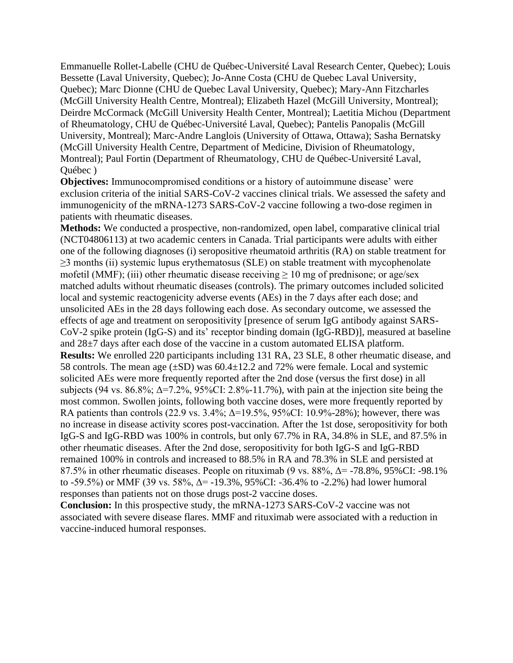Emmanuelle Rollet-Labelle (CHU de Québec-Université Laval Research Center, Quebec); Louis Bessette (Laval University, Quebec); Jo-Anne Costa (CHU de Quebec Laval University, Quebec); Marc Dionne (CHU de Quebec Laval University, Quebec); Mary-Ann Fitzcharles (McGill University Health Centre, Montreal); Elizabeth Hazel (McGill University, Montreal); Deirdre McCormack (McGill University Health Center, Montreal); Laetitia Michou (Department of Rheumatology, CHU de Québec-Université Laval, Quebec); Pantelis Panopalis (McGill University, Montreal); Marc-Andre Langlois (University of Ottawa, Ottawa); Sasha Bernatsky (McGill University Health Centre, Department of Medicine, Division of Rheumatology, Montreal); Paul Fortin (Department of Rheumatology, CHU de Québec-Université Laval, Québec )

**Objectives:** Immunocompromised conditions or a history of autoimmune disease' were exclusion criteria of the initial SARS-CoV-2 vaccines clinical trials. We assessed the safety and immunogenicity of the mRNA-1273 SARS-CoV-2 vaccine following a two-dose regimen in patients with rheumatic diseases.

**Methods:** We conducted a prospective, non-randomized, open label, comparative clinical trial (NCT04806113) at two academic centers in Canada. Trial participants were adults with either one of the following diagnoses (i) seropositive rheumatoid arthritis (RA) on stable treatment for ≥3 months (ii) systemic lupus erythematosus (SLE) on stable treatment with mycophenolate mofetil (MMF); (iii) other rheumatic disease receiving  $\geq 10$  mg of prednisone; or age/sex matched adults without rheumatic diseases (controls). The primary outcomes included solicited local and systemic reactogenicity adverse events (AEs) in the 7 days after each dose; and unsolicited AEs in the 28 days following each dose. As secondary outcome, we assessed the effects of age and treatment on seropositivity [presence of serum IgG antibody against SARS-CoV-2 spike protein (IgG-S) and its' receptor binding domain (IgG-RBD)], measured at baseline and 28±7 days after each dose of the vaccine in a custom automated ELISA platform. **Results:** We enrolled 220 participants including 131 RA, 23 SLE, 8 other rheumatic disease, and 58 controls. The mean age  $(\pm SD)$  was 60.4 $\pm$ 12.2 and 72% were female. Local and systemic solicited AEs were more frequently reported after the 2nd dose (versus the first dose) in all subjects (94 vs. 86.8%;  $\Delta$ =7.2%, 95%CI: 2.8%-11.7%), with pain at the injection site being the most common. Swollen joints, following both vaccine doses, were more frequently reported by RA patients than controls (22.9 vs. 3.4%;  $\Delta = 19.5\%$ , 95%CI: 10.9%-28%); however, there was no increase in disease activity scores post-vaccination. After the 1st dose, seropositivity for both IgG-S and IgG-RBD was 100% in controls, but only 67.7% in RA, 34.8% in SLE, and 87.5% in other rheumatic diseases. After the 2nd dose, seropositivity for both IgG-S and IgG-RBD remained 100% in controls and increased to 88.5% in RA and 78.3% in SLE and persisted at 87.5% in other rheumatic diseases. People on rituximab (9 vs.  $88\%$ ,  $\Delta$  = -78.8%, 95%CI: -98.1% to -59.5%) or MMF (39 vs. 58%, Δ= -19.3%, 95%CI: -36.4% to -2.2%) had lower humoral responses than patients not on those drugs post-2 vaccine doses.

**Conclusion:** In this prospective study, the mRNA-1273 SARS-CoV-2 vaccine was not associated with severe disease flares. MMF and rituximab were associated with a reduction in vaccine-induced humoral responses.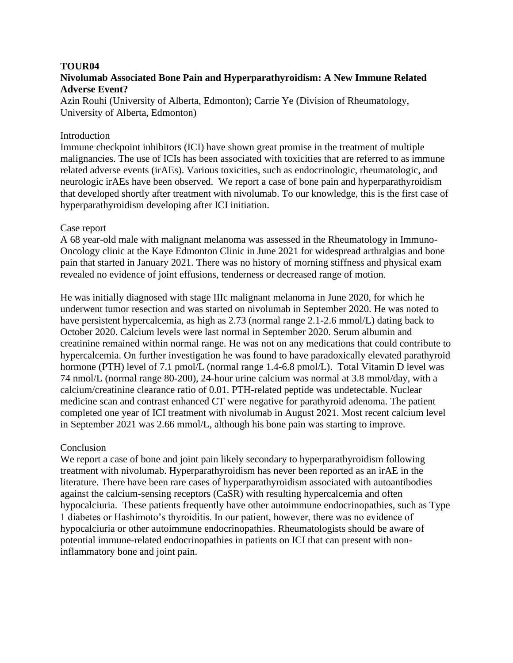#### **TOUR04 Nivolumab Associated Bone Pain and Hyperparathyroidism: A New Immune Related Adverse Event?**

Azin Rouhi (University of Alberta, Edmonton); Carrie Ye (Division of Rheumatology, University of Alberta, Edmonton)

### **Introduction**

Immune checkpoint inhibitors (ICI) have shown great promise in the treatment of multiple malignancies. The use of ICIs has been associated with toxicities that are referred to as immune related adverse events (irAEs). Various toxicities, such as endocrinologic, rheumatologic, and neurologic irAEs have been observed. We report a case of bone pain and hyperparathyroidism that developed shortly after treatment with nivolumab. To our knowledge, this is the first case of hyperparathyroidism developing after ICI initiation.

#### Case report

A 68 year-old male with malignant melanoma was assessed in the Rheumatology in Immuno-Oncology clinic at the Kaye Edmonton Clinic in June 2021 for widespread arthralgias and bone pain that started in January 2021. There was no history of morning stiffness and physical exam revealed no evidence of joint effusions, tenderness or decreased range of motion.

He was initially diagnosed with stage IIIc malignant melanoma in June 2020, for which he underwent tumor resection and was started on nivolumab in September 2020. He was noted to have persistent hypercalcemia, as high as 2.73 (normal range 2.1-2.6 mmol/L) dating back to October 2020. Calcium levels were last normal in September 2020. Serum albumin and creatinine remained within normal range. He was not on any medications that could contribute to hypercalcemia. On further investigation he was found to have paradoxically elevated parathyroid hormone (PTH) level of 7.1 pmol/L (normal range 1.4-6.8 pmol/L). Total Vitamin D level was 74 nmol/L (normal range 80-200), 24-hour urine calcium was normal at 3.8 mmol/day, with a calcium/creatinine clearance ratio of 0.01. PTH-related peptide was undetectable. Nuclear medicine scan and contrast enhanced CT were negative for parathyroid adenoma. The patient completed one year of ICI treatment with nivolumab in August 2021. Most recent calcium level in September 2021 was 2.66 mmol/L, although his bone pain was starting to improve.

### Conclusion

We report a case of bone and joint pain likely secondary to hyperparathyroidism following treatment with nivolumab. Hyperparathyroidism has never been reported as an irAE in the literature. There have been rare cases of hyperparathyroidism associated with autoantibodies against the calcium-sensing receptors (CaSR) with resulting hypercalcemia and often hypocalciuria. These patients frequently have other autoimmune endocrinopathies, such as Type 1 diabetes or Hashimoto's thyroiditis. In our patient, however, there was no evidence of hypocalciuria or other autoimmune endocrinopathies. Rheumatologists should be aware of potential immune-related endocrinopathies in patients on ICI that can present with noninflammatory bone and joint pain.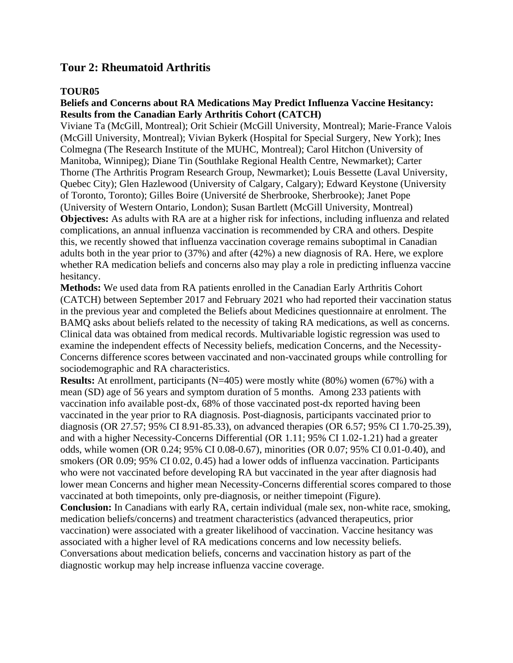## **Tour 2: Rheumatoid Arthritis**

### **TOUR05**

### **Beliefs and Concerns about RA Medications May Predict Influenza Vaccine Hesitancy: Results from the Canadian Early Arthritis Cohort (CATCH)**

Viviane Ta (McGill, Montreal); Orit Schieir (McGill University, Montreal); Marie-France Valois (McGill University, Montreal); Vivian Bykerk (Hospital for Special Surgery, New York); Ines Colmegna (The Research Institute of the MUHC, Montreal); Carol Hitchon (University of Manitoba, Winnipeg); Diane Tin (Southlake Regional Health Centre, Newmarket); Carter Thorne (The Arthritis Program Research Group, Newmarket); Louis Bessette (Laval University, Quebec City); Glen Hazlewood (University of Calgary, Calgary); Edward Keystone (University of Toronto, Toronto); Gilles Boire (Université de Sherbrooke, Sherbrooke); Janet Pope (University of Western Ontario, London); Susan Bartlett (McGill University, Montreal) **Objectives:** As adults with RA are at a higher risk for infections, including influenza and related complications, an annual influenza vaccination is recommended by CRA and others. Despite this, we recently showed that influenza vaccination coverage remains suboptimal in Canadian adults both in the year prior to (37%) and after (42%) a new diagnosis of RA. Here, we explore whether RA medication beliefs and concerns also may play a role in predicting influenza vaccine hesitancy.

**Methods:** We used data from RA patients enrolled in the Canadian Early Arthritis Cohort (CATCH) between September 2017 and February 2021 who had reported their vaccination status in the previous year and completed the Beliefs about Medicines questionnaire at enrolment. The BAMQ asks about beliefs related to the necessity of taking RA medications, as well as concerns. Clinical data was obtained from medical records. Multivariable logistic regression was used to examine the independent effects of Necessity beliefs, medication Concerns, and the Necessity-Concerns difference scores between vaccinated and non-vaccinated groups while controlling for sociodemographic and RA characteristics.

**Results:** At enrollment, participants (N=405) were mostly white (80%) women (67%) with a mean (SD) age of 56 years and symptom duration of 5 months. Among 233 patients with vaccination info available post-dx, 68% of those vaccinated post-dx reported having been vaccinated in the year prior to RA diagnosis. Post-diagnosis, participants vaccinated prior to diagnosis (OR 27.57; 95% CI 8.91-85.33), on advanced therapies (OR 6.57; 95% CI 1.70-25.39), and with a higher Necessity-Concerns Differential (OR 1.11; 95% CI 1.02-1.21) had a greater odds, while women (OR 0.24; 95% CI 0.08-0.67), minorities (OR 0.07; 95% CI 0.01-0.40), and smokers (OR 0.09; 95% CI 0.02, 0.45) had a lower odds of influenza vaccination. Participants who were not vaccinated before developing RA but vaccinated in the year after diagnosis had lower mean Concerns and higher mean Necessity-Concerns differential scores compared to those vaccinated at both timepoints, only pre-diagnosis, or neither timepoint (Figure). **Conclusion:** In Canadians with early RA, certain individual (male sex, non-white race, smoking, medication beliefs/concerns) and treatment characteristics (advanced therapeutics, prior vaccination) were associated with a greater likelihood of vaccination. Vaccine hesitancy was associated with a higher level of RA medications concerns and low necessity beliefs. Conversations about medication beliefs, concerns and vaccination history as part of the diagnostic workup may help increase influenza vaccine coverage.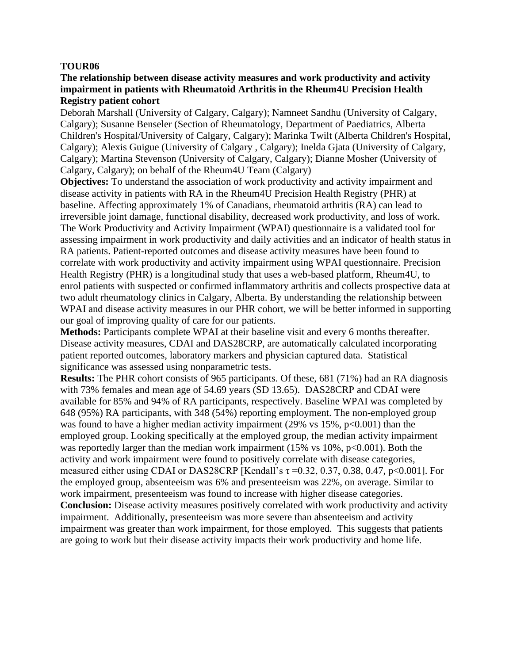### **The relationship between disease activity measures and work productivity and activity impairment in patients with Rheumatoid Arthritis in the Rheum4U Precision Health Registry patient cohort**

Deborah Marshall (University of Calgary, Calgary); Namneet Sandhu (University of Calgary, Calgary); Susanne Benseler (Section of Rheumatology, Department of Paediatrics, Alberta Children's Hospital/University of Calgary, Calgary); Marinka Twilt (Alberta Children's Hospital, Calgary); Alexis Guigue (University of Calgary , Calgary); Inelda Gjata (University of Calgary, Calgary); Martina Stevenson (University of Calgary, Calgary); Dianne Mosher (University of Calgary, Calgary); on behalf of the Rheum4U Team (Calgary)

**Objectives:** To understand the association of work productivity and activity impairment and disease activity in patients with RA in the Rheum4U Precision Health Registry (PHR) at baseline. Affecting approximately 1% of Canadians, rheumatoid arthritis (RA) can lead to irreversible joint damage, functional disability, decreased work productivity, and loss of work. The Work Productivity and Activity Impairment (WPAI) questionnaire is a validated tool for assessing impairment in work productivity and daily activities and an indicator of health status in RA patients. Patient-reported outcomes and disease activity measures have been found to correlate with work productivity and activity impairment using WPAI questionnaire. Precision Health Registry (PHR) is a longitudinal study that uses a web-based platform, Rheum4U, to enrol patients with suspected or confirmed inflammatory arthritis and collects prospective data at two adult rheumatology clinics in Calgary, Alberta. By understanding the relationship between WPAI and disease activity measures in our PHR cohort, we will be better informed in supporting our goal of improving quality of care for our patients.

**Methods:** Participants complete WPAI at their baseline visit and every 6 months thereafter. Disease activity measures, CDAI and DAS28CRP, are automatically calculated incorporating patient reported outcomes, laboratory markers and physician captured data. Statistical significance was assessed using nonparametric tests.

**Results:** The PHR cohort consists of 965 participants. Of these, 681 (71%) had an RA diagnosis with 73% females and mean age of 54.69 years (SD 13.65). DAS28CRP and CDAI were available for 85% and 94% of RA participants, respectively. Baseline WPAI was completed by 648 (95%) RA participants, with 348 (54%) reporting employment. The non-employed group was found to have a higher median activity impairment (29% vs 15%,  $p<0.001$ ) than the employed group. Looking specifically at the employed group, the median activity impairment was reportedly larger than the median work impairment  $(15\% \text{ vs } 10\%, \text{p} < 0.001)$ . Both the activity and work impairment were found to positively correlate with disease categories, measured either using CDAI or DAS28CRP [Kendall's  $\tau$  =0.32, 0.37, 0.38, 0.47, p<0.001]. For the employed group, absenteeism was 6% and presenteeism was 22%, on average. Similar to work impairment, presenteeism was found to increase with higher disease categories. **Conclusion:** Disease activity measures positively correlated with work productivity and activity impairment. Additionally, presenteeism was more severe than absenteeism and activity impairment was greater than work impairment, for those employed. This suggests that patients are going to work but their disease activity impacts their work productivity and home life.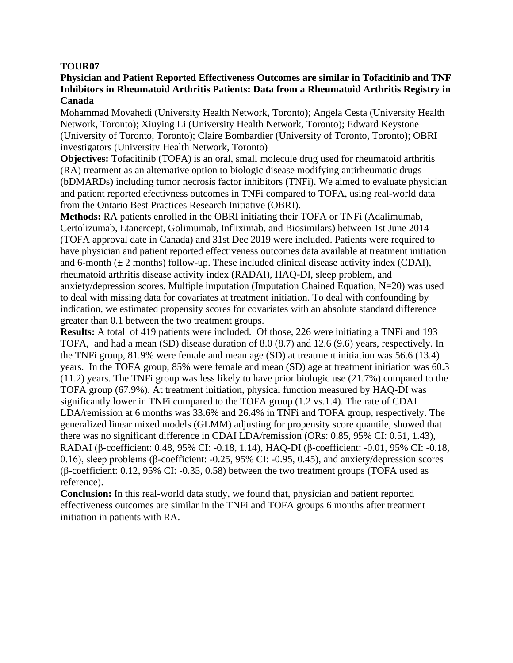### **Physician and Patient Reported Effectiveness Outcomes are similar in Tofacitinib and TNF Inhibitors in Rheumatoid Arthritis Patients: Data from a Rheumatoid Arthritis Registry in Canada**

Mohammad Movahedi (University Health Network, Toronto); Angela Cesta (University Health Network, Toronto); Xiuying Li (University Health Network, Toronto); Edward Keystone (University of Toronto, Toronto); Claire Bombardier (University of Toronto, Toronto); OBRI investigators (University Health Network, Toronto)

**Objectives:** Tofacitinib (TOFA) is an oral, small molecule drug used for rheumatoid arthritis (RA) treatment as an alternative option to biologic disease modifying antirheumatic drugs (bDMARDs) including tumor necrosis factor inhibitors (TNFi). We aimed to evaluate physician and patient reported efectivness outcomes in TNFi compared to TOFA, using real-world data from the Ontario Best Practices Research Initiative (OBRI).

**Methods:** RA patients enrolled in the OBRI initiating their TOFA or TNFi (Adalimumab, Certolizumab, Etanercept, Golimumab, Infliximab, and Biosimilars) between 1st June 2014 (TOFA approval date in Canada) and 31st Dec 2019 were included. Patients were required to have physician and patient reported effectiveness outcomes data available at treatment initiation and 6-month  $(\pm 2 \text{ months})$  follow-up. These included clinical disease activity index (CDAI), rheumatoid arthritis disease activity index (RADAI), HAQ-DI, sleep problem, and anxiety/depression scores. Multiple imputation (Imputation Chained Equation, N=20) was used to deal with missing data for covariates at treatment initiation. To deal with confounding by indication, we estimated propensity scores for covariates with an absolute standard difference greater than 0.1 between the two treatment groups.

**Results:** A total of 419 patients were included. Of those, 226 were initiating a TNFi and 193 TOFA, and had a mean (SD) disease duration of 8.0 (8.7) and 12.6 (9.6) years, respectively. In the TNFi group, 81.9% were female and mean age (SD) at treatment initiation was 56.6 (13.4) years. In the TOFA group, 85% were female and mean (SD) age at treatment initiation was 60.3 (11.2) years. The TNFi group was less likely to have prior biologic use (21.7%) compared to the TOFA group (67.9%). At treatment initiation, physical function measured by HAQ-DI was significantly lower in TNFi compared to the TOFA group (1.2 vs.1.4). The rate of CDAI LDA/remission at 6 months was 33.6% and 26.4% in TNFi and TOFA group, respectively. The generalized linear mixed models (GLMM) adjusting for propensity score quantile, showed that there was no significant difference in CDAI LDA/remission (ORs: 0.85, 95% CI: 0.51, 1.43), RADAI (β-coefficient: 0.48, 95% CI: -0.18, 1.14), HAQ-DI (β-coefficient: -0.01, 95% CI: -0.18, 0.16), sleep problems (β-coefficient: -0.25, 95% CI: -0.95, 0.45), and anxiety/depression scores (β-coefficient: 0.12, 95% CI: -0.35, 0.58) between the two treatment groups (TOFA used as reference).

**Conclusion:** In this real-world data study, we found that, physician and patient reported effectiveness outcomes are similar in the TNFi and TOFA groups 6 months after treatment initiation in patients with RA.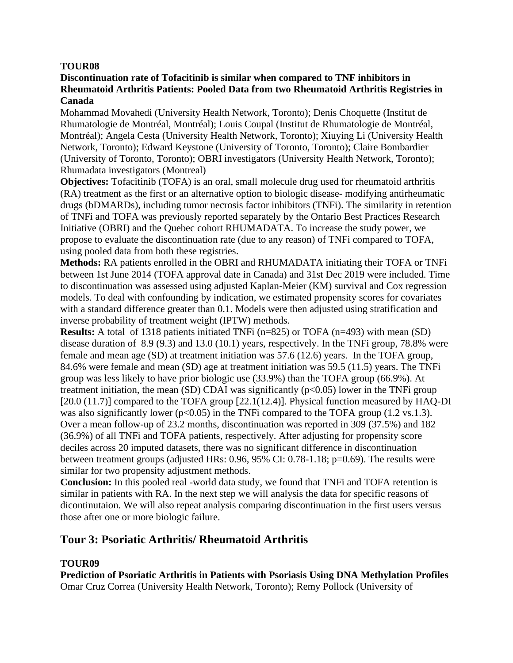### **Discontinuation rate of Tofacitinib is similar when compared to TNF inhibitors in Rheumatoid Arthritis Patients: Pooled Data from two Rheumatoid Arthritis Registries in Canada**

Mohammad Movahedi (University Health Network, Toronto); Denis Choquette (Institut de Rhumatologie de Montréal, Montréal); Louis Coupal (Institut de Rhumatologie de Montréal, Montréal); Angela Cesta (University Health Network, Toronto); Xiuying Li (University Health Network, Toronto); Edward Keystone (University of Toronto, Toronto); Claire Bombardier (University of Toronto, Toronto); OBRI investigators (University Health Network, Toronto); Rhumadata investigators (Montreal)

**Objectives:** Tofacitinib (TOFA) is an oral, small molecule drug used for rheumatoid arthritis (RA) treatment as the first or an alternative option to biologic disease- modifying antirheumatic drugs (bDMARDs), including tumor necrosis factor inhibitors (TNFi). The similarity in retention of TNFi and TOFA was previously reported separately by the Ontario Best Practices Research Initiative (OBRI) and the Quebec cohort RHUMADATA. To increase the study power, we propose to evaluate the discontinuation rate (due to any reason) of TNFi compared to TOFA, using pooled data from both these registries.

**Methods:** RA patients enrolled in the OBRI and RHUMADATA initiating their TOFA or TNFi between 1st June 2014 (TOFA approval date in Canada) and 31st Dec 2019 were included. Time to discontinuation was assessed using adjusted Kaplan-Meier (KM) survival and Cox regression models. To deal with confounding by indication, we estimated propensity scores for covariates with a standard difference greater than 0.1. Models were then adjusted using stratification and inverse probability of treatment weight (IPTW) methods.

**Results:** A total of 1318 patients initiated TNFi (n=825) or TOFA (n=493) with mean (SD) disease duration of 8.9 (9.3) and 13.0 (10.1) years, respectively. In the TNFi group, 78.8% were female and mean age (SD) at treatment initiation was 57.6 (12.6) years. In the TOFA group, 84.6% were female and mean (SD) age at treatment initiation was 59.5 (11.5) years. The TNFi group was less likely to have prior biologic use (33.9%) than the TOFA group (66.9%). At treatment initiation, the mean (SD) CDAI was significantly  $(p<0.05)$  lower in the TNFi group [20.0 (11.7)] compared to the TOFA group [22.1(12.4)]. Physical function measured by HAQ-DI was also significantly lower ( $p<0.05$ ) in the TNFi compared to the TOFA group (1.2 vs.1.3). Over a mean follow-up of 23.2 months, discontinuation was reported in 309 (37.5%) and 182 (36.9%) of all TNFi and TOFA patients, respectively. After adjusting for propensity score deciles across 20 imputed datasets, there was no significant difference in discontinuation between treatment groups (adjusted HRs: 0.96, 95% CI: 0.78-1.18; p=0.69). The results were similar for two propensity adjustment methods.

**Conclusion:** In this pooled real -world data study, we found that TNFi and TOFA retention is similar in patients with RA. In the next step we will analysis the data for specific reasons of dicontinutaion. We will also repeat analysis comparing discontinuation in the first users versus those after one or more biologic failure.

## **Tour 3: Psoriatic Arthritis/ Rheumatoid Arthritis**

### **TOUR09**

**Prediction of Psoriatic Arthritis in Patients with Psoriasis Using DNA Methylation Profiles** Omar Cruz Correa (University Health Network, Toronto); Remy Pollock (University of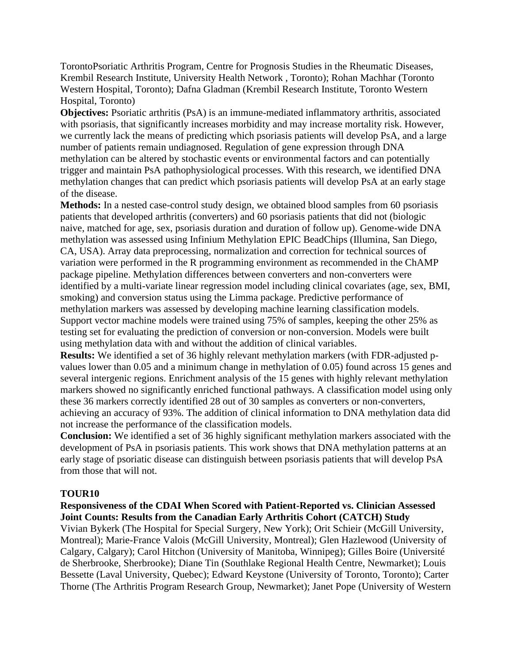TorontoPsoriatic Arthritis Program, Centre for Prognosis Studies in the Rheumatic Diseases, Krembil Research Institute, University Health Network , Toronto); Rohan Machhar (Toronto Western Hospital, Toronto); Dafna Gladman (Krembil Research Institute, Toronto Western Hospital, Toronto)

**Objectives:** Psoriatic arthritis (PsA) is an immune-mediated inflammatory arthritis, associated with psoriasis, that significantly increases morbidity and may increase mortality risk. However, we currently lack the means of predicting which psoriasis patients will develop PsA, and a large number of patients remain undiagnosed. Regulation of gene expression through DNA methylation can be altered by stochastic events or environmental factors and can potentially trigger and maintain PsA pathophysiological processes. With this research, we identified DNA methylation changes that can predict which psoriasis patients will develop PsA at an early stage of the disease.

**Methods:** In a nested case-control study design, we obtained blood samples from 60 psoriasis patients that developed arthritis (converters) and 60 psoriasis patients that did not (biologic naive, matched for age, sex, psoriasis duration and duration of follow up). Genome-wide DNA methylation was assessed using Infinium Methylation EPIC BeadChips (Illumina, San Diego, CA, USA). Array data preprocessing, normalization and correction for technical sources of variation were performed in the R programming environment as recommended in the ChAMP package pipeline. Methylation differences between converters and non-converters were identified by a multi-variate linear regression model including clinical covariates (age, sex, BMI, smoking) and conversion status using the Limma package. Predictive performance of methylation markers was assessed by developing machine learning classification models. Support vector machine models were trained using 75% of samples, keeping the other 25% as testing set for evaluating the prediction of conversion or non-conversion. Models were built using methylation data with and without the addition of clinical variables.

**Results:** We identified a set of 36 highly relevant methylation markers (with FDR-adjusted pvalues lower than 0.05 and a minimum change in methylation of 0.05) found across 15 genes and several intergenic regions. Enrichment analysis of the 15 genes with highly relevant methylation markers showed no significantly enriched functional pathways. A classification model using only these 36 markers correctly identified 28 out of 30 samples as converters or non-converters, achieving an accuracy of 93%. The addition of clinical information to DNA methylation data did not increase the performance of the classification models.

**Conclusion:** We identified a set of 36 highly significant methylation markers associated with the development of PsA in psoriasis patients. This work shows that DNA methylation patterns at an early stage of psoriatic disease can distinguish between psoriasis patients that will develop PsA from those that will not.

### **TOUR10**

### **Responsiveness of the CDAI When Scored with Patient-Reported vs. Clinician Assessed Joint Counts: Results from the Canadian Early Arthritis Cohort (CATCH) Study**

Vivian Bykerk (The Hospital for Special Surgery, New York); Orit Schieir (McGill University, Montreal); Marie-France Valois (McGill University, Montreal); Glen Hazlewood (University of Calgary, Calgary); Carol Hitchon (University of Manitoba, Winnipeg); Gilles Boire (Université de Sherbrooke, Sherbrooke); Diane Tin (Southlake Regional Health Centre, Newmarket); Louis Bessette (Laval University, Quebec); Edward Keystone (University of Toronto, Toronto); Carter Thorne (The Arthritis Program Research Group, Newmarket); Janet Pope (University of Western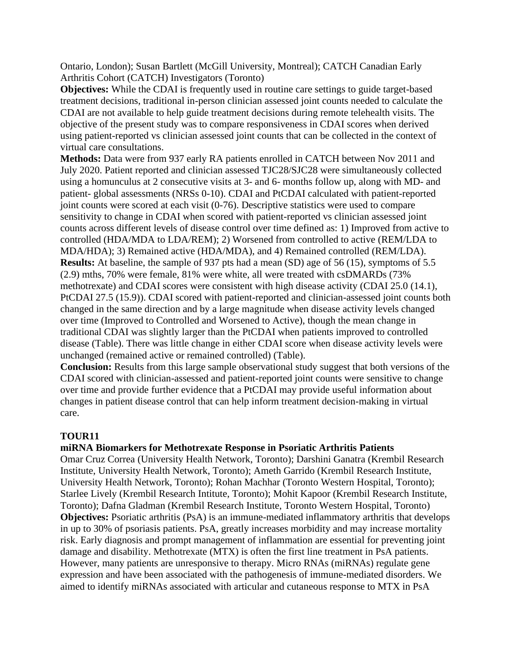Ontario, London); Susan Bartlett (McGill University, Montreal); CATCH Canadian Early Arthritis Cohort (CATCH) Investigators (Toronto)

**Objectives:** While the CDAI is frequently used in routine care settings to guide target-based treatment decisions, traditional in-person clinician assessed joint counts needed to calculate the CDAI are not available to help guide treatment decisions during remote telehealth visits. The objective of the present study was to compare responsiveness in CDAI scores when derived using patient-reported vs clinician assessed joint counts that can be collected in the context of virtual care consultations.

**Methods:** Data were from 937 early RA patients enrolled in CATCH between Nov 2011 and July 2020. Patient reported and clinician assessed TJC28/SJC28 were simultaneously collected using a homunculus at 2 consecutive visits at 3- and 6- months follow up, along with MD- and patient- global assessments (NRSs 0-10). CDAI and PtCDAI calculated with patient-reported joint counts were scored at each visit (0-76). Descriptive statistics were used to compare sensitivity to change in CDAI when scored with patient-reported vs clinician assessed joint counts across different levels of disease control over time defined as: 1) Improved from active to controlled (HDA/MDA to LDA/REM); 2) Worsened from controlled to active (REM/LDA to MDA/HDA); 3) Remained active (HDA/MDA), and 4) Remained controlled (REM/LDA). **Results:** At baseline, the sample of 937 pts had a mean (SD) age of 56 (15), symptoms of 5.5 (2.9) mths, 70% were female, 81% were white, all were treated with csDMARDs (73% methotrexate) and CDAI scores were consistent with high disease activity (CDAI 25.0 (14.1), PtCDAI 27.5 (15.9)). CDAI scored with patient-reported and clinician-assessed joint counts both changed in the same direction and by a large magnitude when disease activity levels changed over time (Improved to Controlled and Worsened to Active), though the mean change in traditional CDAI was slightly larger than the PtCDAI when patients improved to controlled disease (Table). There was little change in either CDAI score when disease activity levels were unchanged (remained active or remained controlled) (Table).

**Conclusion:** Results from this large sample observational study suggest that both versions of the CDAI scored with clinician-assessed and patient-reported joint counts were sensitive to change over time and provide further evidence that a PtCDAI may provide useful information about changes in patient disease control that can help inform treatment decision-making in virtual care.

### **TOUR11**

### **miRNA Biomarkers for Methotrexate Response in Psoriatic Arthritis Patients**

Omar Cruz Correa (University Health Network, Toronto); Darshini Ganatra (Krembil Research Institute, University Health Network, Toronto); Ameth Garrido (Krembil Research Institute, University Health Network, Toronto); Rohan Machhar (Toronto Western Hospital, Toronto); Starlee Lively (Krembil Research Intitute, Toronto); Mohit Kapoor (Krembil Research Institute, Toronto); Dafna Gladman (Krembil Research Institute, Toronto Western Hospital, Toronto) **Objectives:** Psoriatic arthritis (PsA) is an immune-mediated inflammatory arthritis that develops in up to 30% of psoriasis patients. PsA, greatly increases morbidity and may increase mortality risk. Early diagnosis and prompt management of inflammation are essential for preventing joint damage and disability. Methotrexate (MTX) is often the first line treatment in PsA patients. However, many patients are unresponsive to therapy. Micro RNAs (miRNAs) regulate gene expression and have been associated with the pathogenesis of immune-mediated disorders. We aimed to identify miRNAs associated with articular and cutaneous response to MTX in PsA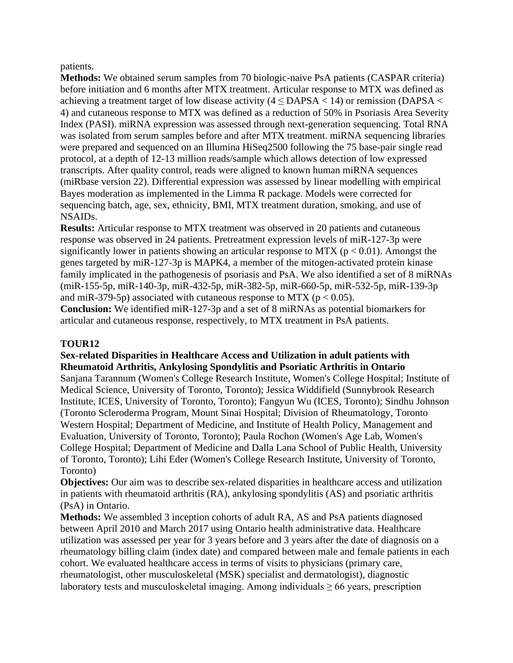#### patients.

**Methods:** We obtained serum samples from 70 biologic-naive PsA patients (CASPAR criteria) before initiation and 6 months after MTX treatment. Articular response to MTX was defined as achieving a treatment target of low disease activity  $(4 \leq \text{DAPSA} < 14)$  or remission (DAPSA  $\lt$ 4) and cutaneous response to MTX was defined as a reduction of 50% in Psoriasis Area Severity Index (PASI). miRNA expression was assessed through next-generation sequencing. Total RNA was isolated from serum samples before and after MTX treatment. miRNA sequencing libraries were prepared and sequenced on an Illumina HiSeq2500 following the 75 base-pair single read protocol, at a depth of 12-13 million reads/sample which allows detection of low expressed transcripts. After quality control, reads were aligned to known human miRNA sequences (miRbase version 22). Differential expression was assessed by linear modelling with empirical Bayes moderation as implemented in the Limma R package. Models were corrected for sequencing batch, age, sex, ethnicity, BMI, MTX treatment duration, smoking, and use of NSAIDs.

**Results:** Articular response to MTX treatment was observed in 20 patients and cutaneous response was observed in 24 patients. Pretreatment expression levels of miR-127-3p were significantly lower in patients showing an articular response to MTX ( $p < 0.01$ ). Amongst the genes targeted by miR-127-3p is MAPK4, a member of the mitogen-activated protein kinase family implicated in the pathogenesis of psoriasis and PsA. We also identified a set of 8 miRNAs (miR-155-5p, miR-140-3p, miR-432-5p, miR-382-5p, miR-660-5p, miR-532-5p, miR-139-3p and miR-379-5p) associated with cutaneous response to MTX ( $p < 0.05$ ).

**Conclusion:** We identified miR-127-3p and a set of 8 miRNAs as potential biomarkers for articular and cutaneous response, respectively, to MTX treatment in PsA patients.

### **TOUR12**

### **Sex-related Disparities in Healthcare Access and Utilization in adult patients with Rheumatoid Arthritis, Ankylosing Spondylitis and Psoriatic Arthritis in Ontario**

Sanjana Tarannum (Women's College Research Institute, Women's College Hospital; Institute of Medical Science, University of Toronto, Toronto); Jessica Widdifield (Sunnybrook Research Institute, ICES, University of Toronto, Toronto); Fangyun Wu (ICES, Toronto); Sindhu Johnson (Toronto Scleroderma Program, Mount Sinai Hospital; Division of Rheumatology, Toronto Western Hospital; Department of Medicine, and Institute of Health Policy, Management and Evaluation, University of Toronto, Toronto); Paula Rochon (Women's Age Lab, Women's College Hospital; Department of Medicine and Dalla Lana School of Public Health, University of Toronto, Toronto); Lihi Eder (Women's College Research Institute, University of Toronto, Toronto)

**Objectives:** Our aim was to describe sex-related disparities in healthcare access and utilization in patients with rheumatoid arthritis (RA), ankylosing spondylitis (AS) and psoriatic arthritis (PsA) in Ontario.

**Methods:** We assembled 3 inception cohorts of adult RA, AS and PsA patients diagnosed between April 2010 and March 2017 using Ontario health administrative data. Healthcare utilization was assessed per year for 3 years before and 3 years after the date of diagnosis on a rheumatology billing claim (index date) and compared between male and female patients in each cohort. We evaluated healthcare access in terms of visits to physicians (primary care, rheumatologist, other musculoskeletal (MSK) specialist and dermatologist), diagnostic laboratory tests and musculoskeletal imaging. Among individuals  $\geq 66$  years, prescription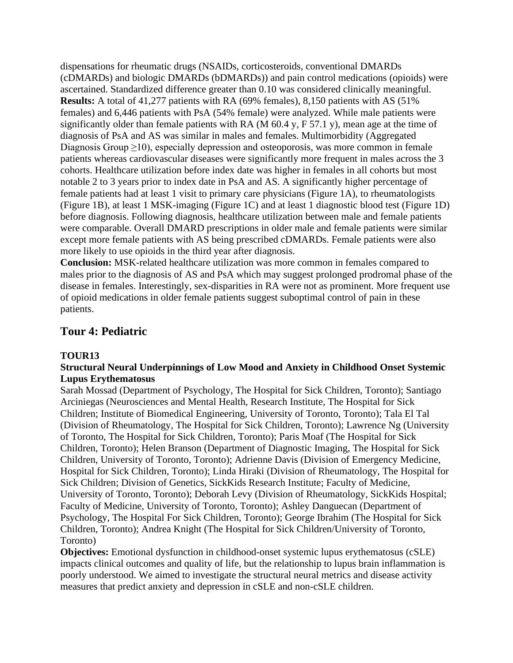dispensations for rheumatic drugs (NSAIDs, corticosteroids, conventional DMARDs (cDMARDs) and biologic DMARDs (bDMARDs)) and pain control medications (opioids) were ascertained. Standardized difference greater than 0.10 was considered clinically meaningful. **Results:** A total of 41,277 patients with RA (69% females), 8,150 patients with AS (51% females) and 6,446 patients with PsA (54% female) were analyzed. While male patients were significantly older than female patients with RA (M 60.4 y, F 57.1 y), mean age at the time of diagnosis of PsA and AS was similar in males and females. Multimorbidity (Aggregated Diagnosis Group  $\geq$ 10), especially depression and osteoporosis, was more common in female patients whereas cardiovascular diseases were significantly more frequent in males across the 3 cohorts. Healthcare utilization before index date was higher in females in all cohorts but most notable 2 to 3 years prior to index date in PsA and AS. A significantly higher percentage of female patients had at least 1 visit to primary care physicians (Figure 1A), to rheumatologists (Figure 1B), at least 1 MSK-imaging (Figure 1C) and at least 1 diagnostic blood test (Figure 1D) before diagnosis. Following diagnosis, healthcare utilization between male and female patients were comparable. Overall DMARD prescriptions in older male and female patients were similar except more female patients with AS being prescribed cDMARDs. Female patients were also more likely to use opioids in the third year after diagnosis.

**Conclusion:** MSK-related healthcare utilization was more common in females compared to males prior to the diagnosis of AS and PsA which may suggest prolonged prodromal phase of the disease in females. Interestingly, sex-disparities in RA were not as prominent. More frequent use of opioid medications in older female patients suggest suboptimal control of pain in these patients.

## **Tour 4: Pediatric**

### **TOUR13**

### **Structural Neural Underpinnings of Low Mood and Anxiety in Childhood Onset Systemic Lupus Erythematosus**

Sarah Mossad (Department of Psychology, The Hospital for Sick Children, Toronto); Santiago Arciniegas (Neurosciences and Mental Health, Research Institute, The Hospital for Sick Children; Institute of Biomedical Engineering, University of Toronto, Toronto); Tala El Tal (Division of Rheumatology, The Hospital for Sick Children, Toronto); Lawrence Ng (University of Toronto, The Hospital for Sick Children, Toronto); Paris Moaf (The Hospital for Sick Children, Toronto); Helen Branson (Department of Diagnostic Imaging, The Hospital for Sick Children, University of Toronto, Toronto); Adrienne Davis (Division of Emergency Medicine, Hospital for Sick Children, Toronto); Linda Hiraki (Division of Rheumatology, The Hospital for Sick Children; Division of Genetics, SickKids Research Institute; Faculty of Medicine, University of Toronto, Toronto); Deborah Levy (Division of Rheumatology, SickKids Hospital; Faculty of Medicine, University of Toronto, Toronto); Ashley Danguecan (Department of Psychology, The Hospital For Sick Children, Toronto); George Ibrahim (The Hospital for Sick Children, Toronto); Andrea Knight (The Hospital for Sick Children/University of Toronto, Toronto)

**Objectives:** Emotional dysfunction in childhood-onset systemic lupus erythematosus (cSLE) impacts clinical outcomes and quality of life, but the relationship to lupus brain inflammation is poorly understood. We aimed to investigate the structural neural metrics and disease activity measures that predict anxiety and depression in cSLE and non-cSLE children.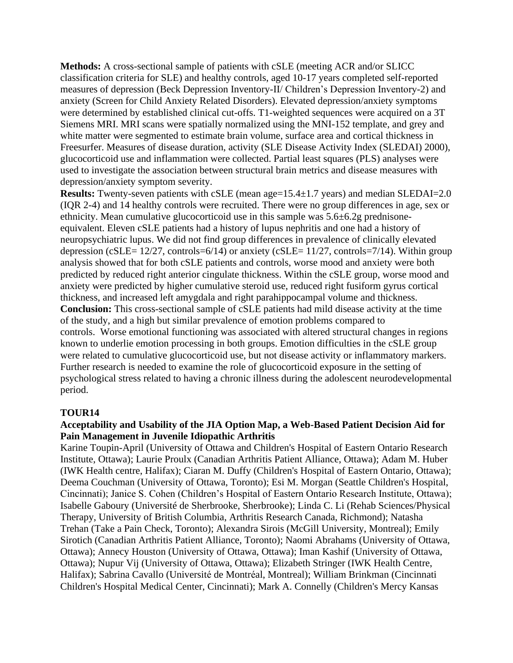**Methods:** A cross-sectional sample of patients with cSLE (meeting ACR and/or SLICC classification criteria for SLE) and healthy controls, aged 10-17 years completed self-reported measures of depression (Beck Depression Inventory-II/ Children's Depression Inventory-2) and anxiety (Screen for Child Anxiety Related Disorders). Elevated depression/anxiety symptoms were determined by established clinical cut-offs. T1-weighted sequences were acquired on a 3T Siemens MRI. MRI scans were spatially normalized using the MNI-152 template, and grey and white matter were segmented to estimate brain volume, surface area and cortical thickness in Freesurfer. Measures of disease duration, activity (SLE Disease Activity Index (SLEDAI) 2000), glucocorticoid use and inflammation were collected. Partial least squares (PLS) analyses were used to investigate the association between structural brain metrics and disease measures with depression/anxiety symptom severity.

**Results:** Twenty-seven patients with cSLE (mean age=15.4±1.7 years) and median SLEDAI=2.0 (IQR 2-4) and 14 healthy controls were recruited. There were no group differences in age, sex or ethnicity. Mean cumulative glucocorticoid use in this sample was 5.6±6.2g prednisoneequivalent. Eleven cSLE patients had a history of lupus nephritis and one had a history of neuropsychiatric lupus. We did not find group differences in prevalence of clinically elevated depression (cSLE=  $12/27$ , controls=6/14) or anxiety (cSLE=  $11/27$ , controls=7/14). Within group analysis showed that for both cSLE patients and controls, worse mood and anxiety were both predicted by reduced right anterior cingulate thickness. Within the cSLE group, worse mood and anxiety were predicted by higher cumulative steroid use, reduced right fusiform gyrus cortical thickness, and increased left amygdala and right parahippocampal volume and thickness. **Conclusion:** This cross-sectional sample of cSLE patients had mild disease activity at the time of the study, and a high but similar prevalence of emotion problems compared to controls. Worse emotional functioning was associated with altered structural changes in regions known to underlie emotion processing in both groups. Emotion difficulties in the cSLE group were related to cumulative glucocorticoid use, but not disease activity or inflammatory markers. Further research is needed to examine the role of glucocorticoid exposure in the setting of psychological stress related to having a chronic illness during the adolescent neurodevelopmental period.

### **TOUR14**

#### **Acceptability and Usability of the JIA Option Map, a Web-Based Patient Decision Aid for Pain Management in Juvenile Idiopathic Arthritis**

Karine Toupin-April (University of Ottawa and Children's Hospital of Eastern Ontario Research Institute, Ottawa); Laurie Proulx (Canadian Arthritis Patient Alliance, Ottawa); Adam M. Huber (IWK Health centre, Halifax); Ciaran M. Duffy (Children's Hospital of Eastern Ontario, Ottawa); Deema Couchman (University of Ottawa, Toronto); Esi M. Morgan (Seattle Children's Hospital, Cincinnati); Janice S. Cohen (Children's Hospital of Eastern Ontario Research Institute, Ottawa); Isabelle Gaboury (Université de Sherbrooke, Sherbrooke); Linda C. Li (Rehab Sciences/Physical Therapy, University of British Columbia, Arthritis Research Canada, Richmond); Natasha Trehan (Take a Pain Check, Toronto); Alexandra Sirois (McGill University, Montreal); Emily Sirotich (Canadian Arthritis Patient Alliance, Toronto); Naomi Abrahams (University of Ottawa, Ottawa); Annecy Houston (University of Ottawa, Ottawa); Iman Kashif (University of Ottawa, Ottawa); Nupur Vij (University of Ottawa, Ottawa); Elizabeth Stringer (IWK Health Centre, Halifax); Sabrina Cavallo (Université de Montréal, Montreal); William Brinkman (Cincinnati Children's Hospital Medical Center, Cincinnati); Mark A. Connelly (Children's Mercy Kansas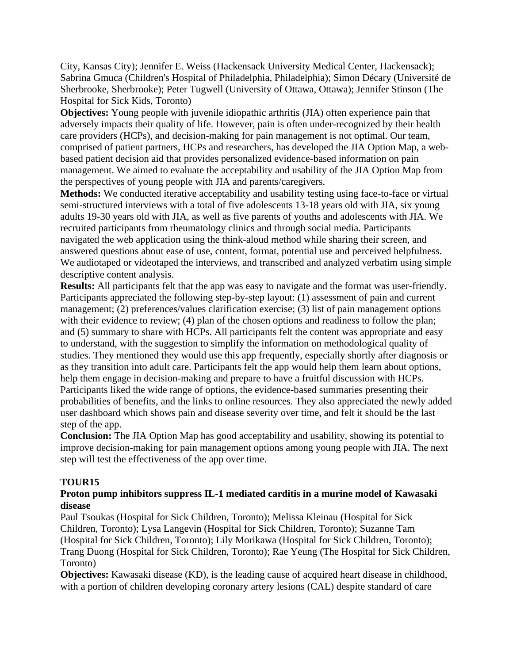City, Kansas City); Jennifer E. Weiss (Hackensack University Medical Center, Hackensack); Sabrina Gmuca (Children's Hospital of Philadelphia, Philadelphia); Simon Décary (Université de Sherbrooke, Sherbrooke); Peter Tugwell (University of Ottawa, Ottawa); Jennifer Stinson (The Hospital for Sick Kids, Toronto)

**Objectives:** Young people with juvenile idiopathic arthritis (JIA) often experience pain that adversely impacts their quality of life. However, pain is often under-recognized by their health care providers (HCPs), and decision-making for pain management is not optimal. Our team, comprised of patient partners, HCPs and researchers, has developed the JIA Option Map, a webbased patient decision aid that provides personalized evidence-based information on pain management. We aimed to evaluate the acceptability and usability of the JIA Option Map from the perspectives of young people with JIA and parents/caregivers.

**Methods:** We conducted iterative acceptability and usability testing using face-to-face or virtual semi-structured interviews with a total of five adolescents 13-18 years old with JIA, six young adults 19-30 years old with JIA, as well as five parents of youths and adolescents with JIA. We recruited participants from rheumatology clinics and through social media. Participants navigated the web application using the think-aloud method while sharing their screen, and answered questions about ease of use, content, format, potential use and perceived helpfulness. We audiotaped or videotaped the interviews, and transcribed and analyzed verbatim using simple descriptive content analysis.

**Results:** All participants felt that the app was easy to navigate and the format was user-friendly. Participants appreciated the following step-by-step layout: (1) assessment of pain and current management; (2) preferences/values clarification exercise; (3) list of pain management options with their evidence to review; (4) plan of the chosen options and readiness to follow the plan; and (5) summary to share with HCPs. All participants felt the content was appropriate and easy to understand, with the suggestion to simplify the information on methodological quality of studies. They mentioned they would use this app frequently, especially shortly after diagnosis or as they transition into adult care. Participants felt the app would help them learn about options, help them engage in decision-making and prepare to have a fruitful discussion with HCPs. Participants liked the wide range of options, the evidence-based summaries presenting their probabilities of benefits, and the links to online resources. They also appreciated the newly added user dashboard which shows pain and disease severity over time, and felt it should be the last step of the app.

**Conclusion:** The JIA Option Map has good acceptability and usability, showing its potential to improve decision-making for pain management options among young people with JIA. The next step will test the effectiveness of the app over time.

### **TOUR15**

### **Proton pump inhibitors suppress IL-1 mediated carditis in a murine model of Kawasaki disease**

Paul Tsoukas (Hospital for Sick Children, Toronto); Melissa Kleinau (Hospital for Sick Children, Toronto); Lysa Langevin (Hospital for Sick Children, Toronto); Suzanne Tam (Hospital for Sick Children, Toronto); Lily Morikawa (Hospital for Sick Children, Toronto); Trang Duong (Hospital for Sick Children, Toronto); Rae Yeung (The Hospital for Sick Children, Toronto)

**Objectives:** Kawasaki disease (KD), is the leading cause of acquired heart disease in childhood, with a portion of children developing coronary artery lesions (CAL) despite standard of care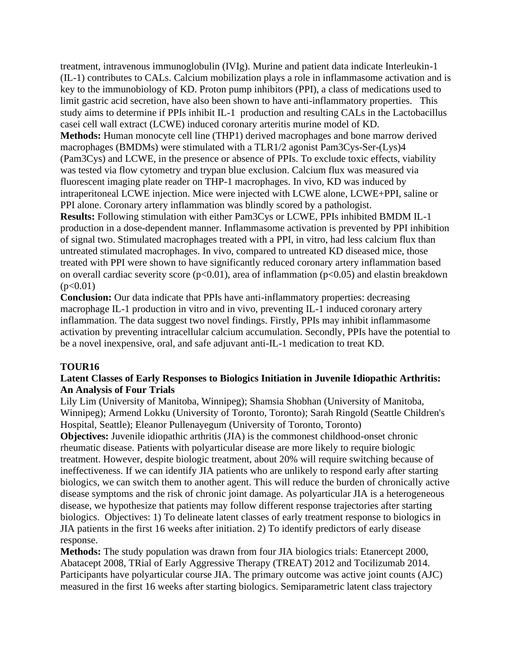treatment, intravenous immunoglobulin (IVIg). Murine and patient data indicate Interleukin-1 (IL-1) contributes to CALs. Calcium mobilization plays a role in inflammasome activation and is key to the immunobiology of KD. Proton pump inhibitors (PPI), a class of medications used to limit gastric acid secretion, have also been shown to have anti-inflammatory properties. This study aims to determine if PPIs inhibit IL-1 production and resulting CALs in the Lactobacillus casei cell wall extract (LCWE) induced coronary arteritis murine model of KD. **Methods:** Human monocyte cell line (THP1) derived macrophages and bone marrow derived macrophages (BMDMs) were stimulated with a TLR1/2 agonist Pam3Cys-Ser-(Lys)4 (Pam3Cys) and LCWE, in the presence or absence of PPIs. To exclude toxic effects, viability was tested via flow cytometry and trypan blue exclusion. Calcium flux was measured via fluorescent imaging plate reader on THP-1 macrophages. In vivo, KD was induced by intraperitoneal LCWE injection. Mice were injected with LCWE alone, LCWE+PPI, saline or PPI alone. Coronary artery inflammation was blindly scored by a pathologist. **Results:** Following stimulation with either Pam3Cys or LCWE, PPIs inhibited BMDM IL-1 production in a dose-dependent manner. Inflammasome activation is prevented by PPI inhibition of signal two. Stimulated macrophages treated with a PPI, in vitro, had less calcium flux than untreated stimulated macrophages. In vivo, compared to untreated KD diseased mice, those treated with PPI were shown to have significantly reduced coronary artery inflammation based on overall cardiac severity score ( $p<0.01$ ), area of inflammation ( $p<0.05$ ) and elastin breakdown  $(p<0.01)$ 

**Conclusion:** Our data indicate that PPIs have anti-inflammatory properties: decreasing macrophage IL-1 production in vitro and in vivo, preventing IL-1 induced coronary artery inflammation. The data suggest two novel findings. Firstly, PPIs may inhibit inflammasome activation by preventing intracellular calcium accumulation. Secondly, PPIs have the potential to be a novel inexpensive, oral, and safe adjuvant anti-IL-1 medication to treat KD.

### **TOUR16**

### **Latent Classes of Early Responses to Biologics Initiation in Juvenile Idiopathic Arthritis: An Analysis of Four Trials**

Lily Lim (University of Manitoba, Winnipeg); Shamsia Shobhan (University of Manitoba, Winnipeg); Armend Lokku (University of Toronto, Toronto); Sarah Ringold (Seattle Children's Hospital, Seattle); Eleanor Pullenayegum (University of Toronto, Toronto)

**Objectives:** Juvenile idiopathic arthritis (JIA) is the commonest childhood-onset chronic rheumatic disease. Patients with polyarticular disease are more likely to require biologic treatment. However, despite biologic treatment, about 20% will require switching because of ineffectiveness. If we can identify JIA patients who are unlikely to respond early after starting biologics, we can switch them to another agent. This will reduce the burden of chronically active disease symptoms and the risk of chronic joint damage. As polyarticular JIA is a heterogeneous disease, we hypothesize that patients may follow different response trajectories after starting biologics. Objectives: 1) To delineate latent classes of early treatment response to biologics in JIA patients in the first 16 weeks after initiation. 2) To identify predictors of early disease response.

**Methods:** The study population was drawn from four JIA biologics trials: Etanercept 2000, Abatacept 2008, TRial of Early Aggressive Therapy (TREAT) 2012 and Tocilizumab 2014. Participants have polyarticular course JIA. The primary outcome was active joint counts (AJC) measured in the first 16 weeks after starting biologics. Semiparametric latent class trajectory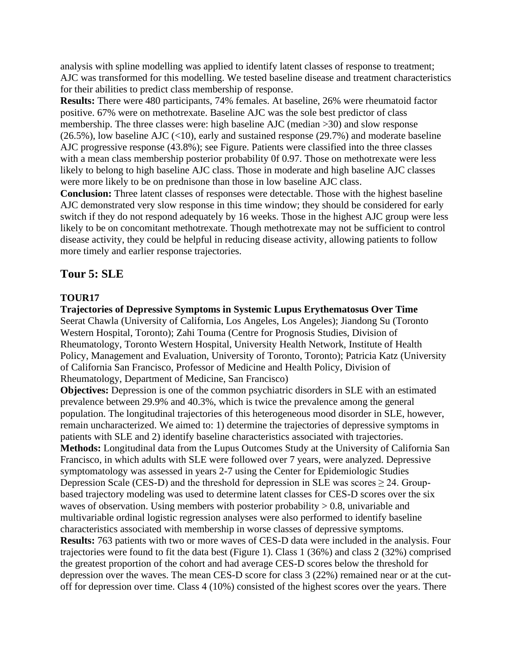analysis with spline modelling was applied to identify latent classes of response to treatment; AJC was transformed for this modelling. We tested baseline disease and treatment characteristics for their abilities to predict class membership of response.

**Results:** There were 480 participants, 74% females. At baseline, 26% were rheumatoid factor positive. 67% were on methotrexate. Baseline AJC was the sole best predictor of class membership. The three classes were: high baseline AJC (median >30) and slow response  $(26.5\%)$ , low baseline AJC (<10), early and sustained response (29.7%) and moderate baseline AJC progressive response (43.8%); see Figure. Patients were classified into the three classes with a mean class membership posterior probability 0f 0.97. Those on methotrexate were less likely to belong to high baseline AJC class. Those in moderate and high baseline AJC classes were more likely to be on prednisone than those in low baseline AJC class.

**Conclusion:** Three latent classes of responses were detectable. Those with the highest baseline AJC demonstrated very slow response in this time window; they should be considered for early switch if they do not respond adequately by 16 weeks. Those in the highest AJC group were less likely to be on concomitant methotrexate. Though methotrexate may not be sufficient to control disease activity, they could be helpful in reducing disease activity, allowing patients to follow more timely and earlier response trajectories.

### **Tour 5: SLE**

#### **TOUR17**

**Trajectories of Depressive Symptoms in Systemic Lupus Erythematosus Over Time** Seerat Chawla (University of California, Los Angeles, Los Angeles); Jiandong Su (Toronto Western Hospital, Toronto); Zahi Touma (Centre for Prognosis Studies, Division of Rheumatology, Toronto Western Hospital, University Health Network, Institute of Health Policy, Management and Evaluation, University of Toronto, Toronto); Patricia Katz (University of California San Francisco, Professor of Medicine and Health Policy, Division of Rheumatology, Department of Medicine, San Francisco)

**Objectives:** Depression is one of the common psychiatric disorders in SLE with an estimated prevalence between 29.9% and 40.3%, which is twice the prevalence among the general population. The longitudinal trajectories of this heterogeneous mood disorder in SLE, however, remain uncharacterized. We aimed to: 1) determine the trajectories of depressive symptoms in patients with SLE and 2) identify baseline characteristics associated with trajectories. **Methods:** Longitudinal data from the Lupus Outcomes Study at the University of California San Francisco, in which adults with SLE were followed over 7 years, were analyzed. Depressive symptomatology was assessed in years 2-7 using the Center for Epidemiologic Studies Depression Scale (CES-D) and the threshold for depression in SLE was scores  $\geq$  24. Groupbased trajectory modeling was used to determine latent classes for CES-D scores over the six waves of observation. Using members with posterior probability > 0.8, univariable and multivariable ordinal logistic regression analyses were also performed to identify baseline characteristics associated with membership in worse classes of depressive symptoms. **Results:** 763 patients with two or more waves of CES-D data were included in the analysis. Four trajectories were found to fit the data best (Figure 1). Class 1 (36%) and class 2 (32%) comprised the greatest proportion of the cohort and had average CES-D scores below the threshold for depression over the waves. The mean CES-D score for class 3 (22%) remained near or at the cutoff for depression over time. Class 4 (10%) consisted of the highest scores over the years. There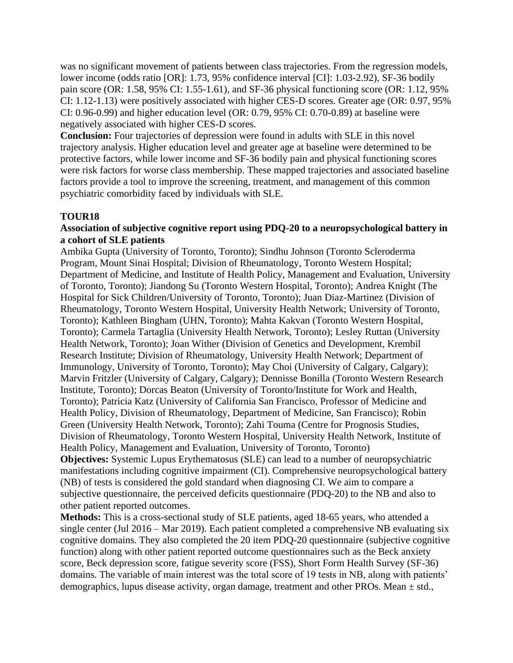was no significant movement of patients between class trajectories. From the regression models, lower income (odds ratio [OR]: 1.73, 95% confidence interval [CI]: 1.03-2.92), SF-36 bodily pain score (OR: 1.58, 95% CI: 1.55-1.61), and SF-36 physical functioning score (OR: 1.12, 95% CI: 1.12-1.13) were positively associated with higher CES-D scores. Greater age (OR: 0.97, 95% CI: 0.96-0.99) and higher education level (OR: 0.79, 95% CI: 0.70-0.89) at baseline were negatively associated with higher CES-D scores.

**Conclusion:** Four trajectories of depression were found in adults with SLE in this novel trajectory analysis. Higher education level and greater age at baseline were determined to be protective factors, while lower income and SF-36 bodily pain and physical functioning scores were risk factors for worse class membership. These mapped trajectories and associated baseline factors provide a tool to improve the screening, treatment, and management of this common psychiatric comorbidity faced by individuals with SLE.

### **TOUR18**

#### **Association of subjective cognitive report using PDQ-20 to a neuropsychological battery in a cohort of SLE patients**

Ambika Gupta (University of Toronto, Toronto); Sindhu Johnson (Toronto Scleroderma Program, Mount Sinai Hospital; Division of Rheumatology, Toronto Western Hospital; Department of Medicine, and Institute of Health Policy, Management and Evaluation, University of Toronto, Toronto); Jiandong Su (Toronto Western Hospital, Toronto); Andrea Knight (The Hospital for Sick Children/University of Toronto, Toronto); Juan Diaz-Martinez (Division of Rheumatology, Toronto Western Hospital, University Health Network; University of Toronto, Toronto); Kathleen Bingham (UHN, Toronto); Mahta Kakvan (Toronto Western Hospital, Toronto); Carmela Tartaglia (University Health Network, Toronto); Lesley Ruttan (University Health Network, Toronto); Joan Wither (Division of Genetics and Development, Krembil Research Institute; Division of Rheumatology, University Health Network; Department of Immunology, University of Toronto, Toronto); May Choi (University of Calgary, Calgary); Marvin Fritzler (University of Calgary, Calgary); Dennisse Bonilla (Toronto Western Research Institute, Toronto); Dorcas Beaton (University of Toronto/Institute for Work and Health, Toronto); Patricia Katz (University of California San Francisco, Professor of Medicine and Health Policy, Division of Rheumatology, Department of Medicine, San Francisco); Robin Green (University Health Network, Toronto); Zahi Touma (Centre for Prognosis Studies, Division of Rheumatology, Toronto Western Hospital, University Health Network, Institute of Health Policy, Management and Evaluation, University of Toronto, Toronto) **Objectives:** Systemic Lupus Erythematosus (SLE) can lead to a number of neuropsychiatric manifestations including cognitive impairment (CI). Comprehensive neuropsychological battery (NB) of tests is considered the gold standard when diagnosing CI. We aim to compare a subjective questionnaire, the perceived deficits questionnaire (PDQ-20) to the NB and also to other patient reported outcomes.

**Methods:** This is a cross-sectional study of SLE patients, aged 18-65 years, who attended a single center (Jul 2016 – Mar 2019). Each patient completed a comprehensive NB evaluating six cognitive domains. They also completed the 20 item PDQ-20 questionnaire (subjective cognitive function) along with other patient reported outcome questionnaires such as the Beck anxiety score, Beck depression score, fatigue severity score (FSS), Short Form Health Survey (SF-36) domains. The variable of main interest was the total score of 19 tests in NB, along with patients' demographics, lupus disease activity, organ damage, treatment and other PROs. Mean  $\pm$  std.,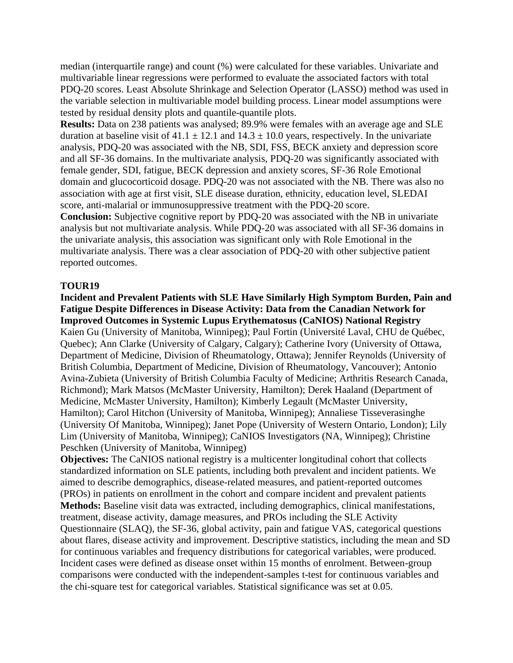median (interquartile range) and count (%) were calculated for these variables. Univariate and multivariable linear regressions were performed to evaluate the associated factors with total PDQ-20 scores. Least Absolute Shrinkage and Selection Operator (LASSO) method was used in the variable selection in multivariable model building process. Linear model assumptions were tested by residual density plots and quantile-quantile plots.

**Results:** Data on 238 patients was analysed; 89.9% were females with an average age and SLE duration at baseline visit of  $41.1 \pm 12.1$  and  $14.3 \pm 10.0$  years, respectively. In the univariate analysis, PDQ-20 was associated with the NB, SDI, FSS, BECK anxiety and depression score and all SF-36 domains. In the multivariate analysis, PDQ-20 was significantly associated with female gender, SDI, fatigue, BECK depression and anxiety scores, SF-36 Role Emotional domain and glucocorticoid dosage. PDQ-20 was not associated with the NB. There was also no association with age at first visit, SLE disease duration, ethnicity, education level, SLEDAI score, anti-malarial or immunosuppressive treatment with the PDQ-20 score. **Conclusion:** Subjective cognitive report by PDQ-20 was associated with the NB in univariate analysis but not multivariate analysis. While PDQ-20 was associated with all SF-36 domains in the univariate analysis, this association was significant only with Role Emotional in the multivariate analysis. There was a clear association of PDQ-20 with other subjective patient reported outcomes.

#### **TOUR19**

**Incident and Prevalent Patients with SLE Have Similarly High Symptom Burden, Pain and Fatigue Despite Differences in Disease Activity: Data from the Canadian Network for Improved Outcomes in Systemic Lupus Erythematosus (CaNIOS) National Registry** Kaien Gu (University of Manitoba, Winnipeg); Paul Fortin (Université Laval, CHU de Québec, Quebec); Ann Clarke (University of Calgary, Calgary); Catherine Ivory (University of Ottawa, Department of Medicine, Division of Rheumatology, Ottawa); Jennifer Reynolds (University of British Columbia, Department of Medicine, Division of Rheumatology, Vancouver); Antonio Avina-Zubieta (University of British Columbia Faculty of Medicine; Arthritis Research Canada, Richmond); Mark Matsos (McMaster University, Hamilton); Derek Haaland (Department of Medicine, McMaster University, Hamilton); Kimberly Legault (McMaster University, Hamilton); Carol Hitchon (University of Manitoba, Winnipeg); Annaliese Tisseverasinghe (University Of Manitoba, Winnipeg); Janet Pope (University of Western Ontario, London); Lily Lim (University of Manitoba, Winnipeg); CaNIOS Investigators (NA, Winnipeg); Christine Peschken (University of Manitoba, Winnipeg)

**Objectives:** The CaNIOS national registry is a multicenter longitudinal cohort that collects standardized information on SLE patients, including both prevalent and incident patients. We aimed to describe demographics, disease-related measures, and patient-reported outcomes (PROs) in patients on enrollment in the cohort and compare incident and prevalent patients **Methods:** Baseline visit data was extracted, including demographics, clinical manifestations, treatment, disease activity, damage measures, and PROs including the SLE Activity Questionnaire (SLAQ), the SF-36, global activity, pain and fatigue VAS, categorical questions about flares, disease activity and improvement. Descriptive statistics, including the mean and SD for continuous variables and frequency distributions for categorical variables, were produced. Incident cases were defined as disease onset within 15 months of enrolment. Between-group comparisons were conducted with the independent-samples t-test for continuous variables and the chi-square test for categorical variables. Statistical significance was set at 0.05.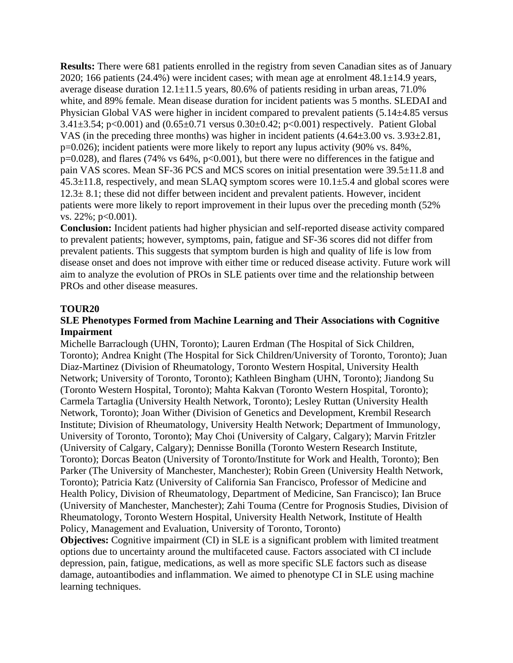**Results:** There were 681 patients enrolled in the registry from seven Canadian sites as of January 2020; 166 patients (24.4%) were incident cases; with mean age at enrolment  $48.1 \pm 14.9$  years, average disease duration 12.1±11.5 years, 80.6% of patients residing in urban areas, 71.0% white, and 89% female. Mean disease duration for incident patients was 5 months. SLEDAI and Physician Global VAS were higher in incident compared to prevalent patients (5.14±4.85 versus 3.41±3.54; p<0.001) and (0.65±0.71 versus 0.30±0.42; p<0.001) respectively. Patient Global VAS (in the preceding three months) was higher in incident patients (4.64±3.00 vs. 3.93±2.81, p=0.026); incident patients were more likely to report any lupus activity (90% vs. 84%,  $p=0.028$ ), and flares (74% vs 64%,  $p<0.001$ ), but there were no differences in the fatigue and pain VAS scores. Mean SF-36 PCS and MCS scores on initial presentation were 39.5±11.8 and  $45.3\pm11.8$ , respectively, and mean SLAQ symptom scores were 10.1 $\pm$ 5.4 and global scores were  $12.3 \pm 8.1$ ; these did not differ between incident and prevalent patients. However, incident patients were more likely to report improvement in their lupus over the preceding month (52% vs. 22%; p<0.001).

**Conclusion:** Incident patients had higher physician and self-reported disease activity compared to prevalent patients; however, symptoms, pain, fatigue and SF-36 scores did not differ from prevalent patients. This suggests that symptom burden is high and quality of life is low from disease onset and does not improve with either time or reduced disease activity. Future work will aim to analyze the evolution of PROs in SLE patients over time and the relationship between PROs and other disease measures.

#### **TOUR20**

#### **SLE Phenotypes Formed from Machine Learning and Their Associations with Cognitive Impairment**

Michelle Barraclough (UHN, Toronto); Lauren Erdman (The Hospital of Sick Children, Toronto); Andrea Knight (The Hospital for Sick Children/University of Toronto, Toronto); Juan Diaz-Martinez (Division of Rheumatology, Toronto Western Hospital, University Health Network; University of Toronto, Toronto); Kathleen Bingham (UHN, Toronto); Jiandong Su (Toronto Western Hospital, Toronto); Mahta Kakvan (Toronto Western Hospital, Toronto); Carmela Tartaglia (University Health Network, Toronto); Lesley Ruttan (University Health Network, Toronto); Joan Wither (Division of Genetics and Development, Krembil Research Institute; Division of Rheumatology, University Health Network; Department of Immunology, University of Toronto, Toronto); May Choi (University of Calgary, Calgary); Marvin Fritzler (University of Calgary, Calgary); Dennisse Bonilla (Toronto Western Research Institute, Toronto); Dorcas Beaton (University of Toronto/Institute for Work and Health, Toronto); Ben Parker (The University of Manchester, Manchester); Robin Green (University Health Network, Toronto); Patricia Katz (University of California San Francisco, Professor of Medicine and Health Policy, Division of Rheumatology, Department of Medicine, San Francisco); Ian Bruce (University of Manchester, Manchester); Zahi Touma (Centre for Prognosis Studies, Division of Rheumatology, Toronto Western Hospital, University Health Network, Institute of Health Policy, Management and Evaluation, University of Toronto, Toronto)

**Objectives:** Cognitive impairment (CI) in SLE is a significant problem with limited treatment options due to uncertainty around the multifaceted cause. Factors associated with CI include depression, pain, fatigue, medications, as well as more specific SLE factors such as disease damage, autoantibodies and inflammation. We aimed to phenotype CI in SLE using machine learning techniques.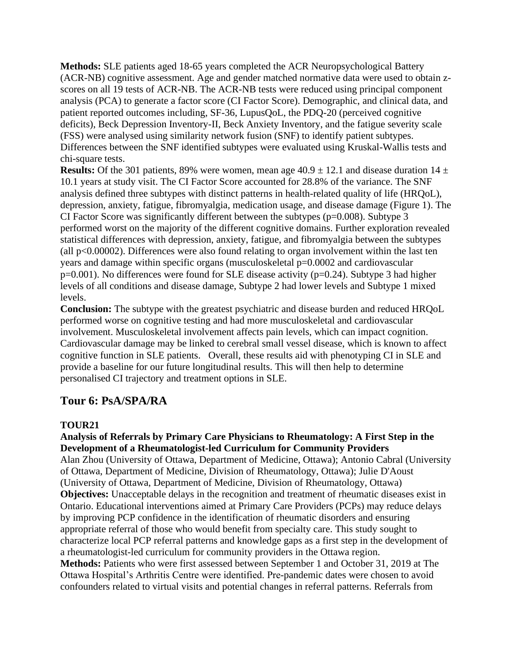**Methods:** SLE patients aged 18-65 years completed the ACR Neuropsychological Battery (ACR-NB) cognitive assessment. Age and gender matched normative data were used to obtain zscores on all 19 tests of ACR-NB. The ACR-NB tests were reduced using principal component analysis (PCA) to generate a factor score (CI Factor Score). Demographic, and clinical data, and patient reported outcomes including, SF-36, LupusQoL, the PDQ-20 (perceived cognitive deficits), Beck Depression Inventory-II, Beck Anxiety Inventory, and the fatigue severity scale (FSS) were analysed using similarity network fusion (SNF) to identify patient subtypes. Differences between the SNF identified subtypes were evaluated using Kruskal-Wallis tests and chi-square tests.

**Results:** Of the 301 patients, 89% were women, mean age  $40.9 \pm 12.1$  and disease duration  $14 \pm$ 10.1 years at study visit. The CI Factor Score accounted for 28.8% of the variance. The SNF analysis defined three subtypes with distinct patterns in health-related quality of life (HRQoL), depression, anxiety, fatigue, fibromyalgia, medication usage, and disease damage (Figure 1). The CI Factor Score was significantly different between the subtypes ( $p=0.008$ ). Subtype 3 performed worst on the majority of the different cognitive domains. Further exploration revealed statistical differences with depression, anxiety, fatigue, and fibromyalgia between the subtypes (all  $p<0.00002$ ). Differences were also found relating to organ involvement within the last ten years and damage within specific organs (musculoskeletal p=0.0002 and cardiovascular p=0.001). No differences were found for SLE disease activity (p=0.24). Subtype 3 had higher levels of all conditions and disease damage, Subtype 2 had lower levels and Subtype 1 mixed levels.

**Conclusion:** The subtype with the greatest psychiatric and disease burden and reduced HRQoL performed worse on cognitive testing and had more musculoskeletal and cardiovascular involvement. Musculoskeletal involvement affects pain levels, which can impact cognition. Cardiovascular damage may be linked to cerebral small vessel disease, which is known to affect cognitive function in SLE patients. Overall, these results aid with phenotyping CI in SLE and provide a baseline for our future longitudinal results. This will then help to determine personalised CI trajectory and treatment options in SLE.

## **Tour 6: PsA/SPA/RA**

### **TOUR21**

## **Analysis of Referrals by Primary Care Physicians to Rheumatology: A First Step in the Development of a Rheumatologist-led Curriculum for Community Providers**

Alan Zhou (University of Ottawa, Department of Medicine, Ottawa); Antonio Cabral (University of Ottawa, Department of Medicine, Division of Rheumatology, Ottawa); Julie D'Aoust (University of Ottawa, Department of Medicine, Division of Rheumatology, Ottawa) **Objectives:** Unacceptable delays in the recognition and treatment of rheumatic diseases exist in Ontario. Educational interventions aimed at Primary Care Providers (PCPs) may reduce delays by improving PCP confidence in the identification of rheumatic disorders and ensuring appropriate referral of those who would benefit from specialty care. This study sought to characterize local PCP referral patterns and knowledge gaps as a first step in the development of a rheumatologist-led curriculum for community providers in the Ottawa region. **Methods:** Patients who were first assessed between September 1 and October 31, 2019 at The Ottawa Hospital's Arthritis Centre were identified. Pre-pandemic dates were chosen to avoid confounders related to virtual visits and potential changes in referral patterns. Referrals from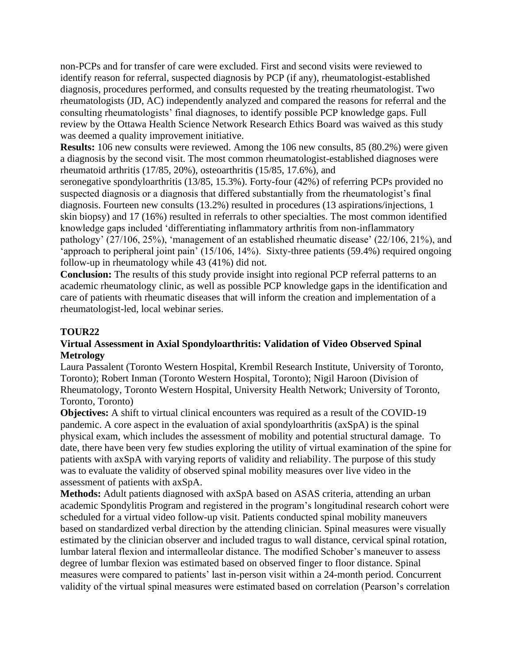non-PCPs and for transfer of care were excluded. First and second visits were reviewed to identify reason for referral, suspected diagnosis by PCP (if any), rheumatologist-established diagnosis, procedures performed, and consults requested by the treating rheumatologist. Two rheumatologists (JD, AC) independently analyzed and compared the reasons for referral and the consulting rheumatologists' final diagnoses, to identify possible PCP knowledge gaps. Full review by the Ottawa Health Science Network Research Ethics Board was waived as this study was deemed a quality improvement initiative.

**Results:** 106 new consults were reviewed. Among the 106 new consults, 85 (80.2%) were given a diagnosis by the second visit. The most common rheumatologist-established diagnoses were rheumatoid arthritis (17/85, 20%), osteoarthritis (15/85, 17.6%), and

seronegative spondyloarthritis (13/85, 15.3%). Forty-four (42%) of referring PCPs provided no suspected diagnosis or a diagnosis that differed substantially from the rheumatologist's final diagnosis. Fourteen new consults (13.2%) resulted in procedures (13 aspirations/injections, 1 skin biopsy) and 17 (16%) resulted in referrals to other specialties. The most common identified knowledge gaps included 'differentiating inflammatory arthritis from non-inflammatory pathology' (27/106, 25%), 'management of an established rheumatic disease' (22/106, 21%), and 'approach to peripheral joint pain' (15/106, 14%). Sixty-three patients (59.4%) required ongoing follow-up in rheumatology while 43 (41%) did not.

**Conclusion:** The results of this study provide insight into regional PCP referral patterns to an academic rheumatology clinic, as well as possible PCP knowledge gaps in the identification and care of patients with rheumatic diseases that will inform the creation and implementation of a rheumatologist-led, local webinar series.

### **TOUR22**

#### **Virtual Assessment in Axial Spondyloarthritis: Validation of Video Observed Spinal Metrology**

Laura Passalent (Toronto Western Hospital, Krembil Research Institute, University of Toronto, Toronto); Robert Inman (Toronto Western Hospital, Toronto); Nigil Haroon (Division of Rheumatology, Toronto Western Hospital, University Health Network; University of Toronto, Toronto, Toronto)

**Objectives:** A shift to virtual clinical encounters was required as a result of the COVID-19 pandemic. A core aspect in the evaluation of axial spondyloarthritis (axSpA) is the spinal physical exam, which includes the assessment of mobility and potential structural damage. To date, there have been very few studies exploring the utility of virtual examination of the spine for patients with axSpA with varying reports of validity and reliability. The purpose of this study was to evaluate the validity of observed spinal mobility measures over live video in the assessment of patients with axSpA.

**Methods:** Adult patients diagnosed with axSpA based on ASAS criteria, attending an urban academic Spondylitis Program and registered in the program's longitudinal research cohort were scheduled for a virtual video follow-up visit. Patients conducted spinal mobility maneuvers based on standardized verbal direction by the attending clinician. Spinal measures were visually estimated by the clinician observer and included tragus to wall distance, cervical spinal rotation, lumbar lateral flexion and intermalleolar distance. The modified Schober's maneuver to assess degree of lumbar flexion was estimated based on observed finger to floor distance. Spinal measures were compared to patients' last in-person visit within a 24-month period. Concurrent validity of the virtual spinal measures were estimated based on correlation (Pearson's correlation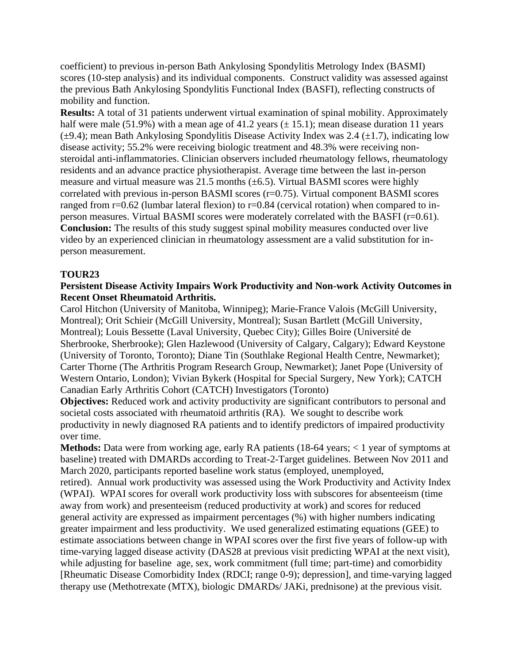coefficient) to previous in-person Bath Ankylosing Spondylitis Metrology Index (BASMI) scores (10-step analysis) and its individual components. Construct validity was assessed against the previous Bath Ankylosing Spondylitis Functional Index (BASFI), reflecting constructs of mobility and function.

**Results:** A total of 31 patients underwent virtual examination of spinal mobility. Approximately half were male (51.9%) with a mean age of 41.2 years  $(\pm 15.1)$ ; mean disease duration 11 years  $(\pm 9.4)$ ; mean Bath Ankylosing Spondylitis Disease Activity Index was 2.4 ( $\pm 1.7$ ), indicating low disease activity; 55.2% were receiving biologic treatment and 48.3% were receiving nonsteroidal anti-inflammatories. Clinician observers included rheumatology fellows, rheumatology residents and an advance practice physiotherapist. Average time between the last in-person measure and virtual measure was 21.5 months  $(\pm 6.5)$ . Virtual BASMI scores were highly correlated with previous in-person BASMI scores (r=0.75). Virtual component BASMI scores ranged from r=0.62 (lumbar lateral flexion) to r=0.84 (cervical rotation) when compared to inperson measures. Virtual BASMI scores were moderately correlated with the BASFI (r=0.61). **Conclusion:** The results of this study suggest spinal mobility measures conducted over live video by an experienced clinician in rheumatology assessment are a valid substitution for inperson measurement.

### **TOUR23**

### **Persistent Disease Activity Impairs Work Productivity and Non-work Activity Outcomes in Recent Onset Rheumatoid Arthritis.**

Carol Hitchon (University of Manitoba, Winnipeg); Marie-France Valois (McGill University, Montreal); Orit Schieir (McGill University, Montreal); Susan Bartlett (McGill University, Montreal); Louis Bessette (Laval University, Quebec City); Gilles Boire (Université de Sherbrooke, Sherbrooke); Glen Hazlewood (University of Calgary, Calgary); Edward Keystone (University of Toronto, Toronto); Diane Tin (Southlake Regional Health Centre, Newmarket); Carter Thorne (The Arthritis Program Research Group, Newmarket); Janet Pope (University of Western Ontario, London); Vivian Bykerk (Hospital for Special Surgery, New York); CATCH Canadian Early Arthritis Cohort (CATCH) Investigators (Toronto)

**Objectives:** Reduced work and activity productivity are significant contributors to personal and societal costs associated with rheumatoid arthritis (RA). We sought to describe work productivity in newly diagnosed RA patients and to identify predictors of impaired productivity over time.

**Methods:** Data were from working age, early RA patients (18-64 years; < 1 year of symptoms at baseline) treated with DMARDs according to Treat-2-Target guidelines. Between Nov 2011 and March 2020, participants reported baseline work status (employed, unemployed,

retired). Annual work productivity was assessed using the Work Productivity and Activity Index (WPAI). WPAI scores for overall work productivity loss with subscores for absenteeism (time away from work) and presenteeism (reduced productivity at work) and scores for reduced general activity are expressed as impairment percentages (%) with higher numbers indicating greater impairment and less productivity. We used generalized estimating equations (GEE) to estimate associations between change in WPAI scores over the first five years of follow-up with time-varying lagged disease activity (DAS28 at previous visit predicting WPAI at the next visit), while adjusting for baseline age, sex, work commitment (full time; part-time) and comorbidity [Rheumatic Disease Comorbidity Index (RDCI; range 0-9); depression], and time-varying lagged therapy use (Methotrexate (MTX), biologic DMARDs/ JAKi, prednisone) at the previous visit.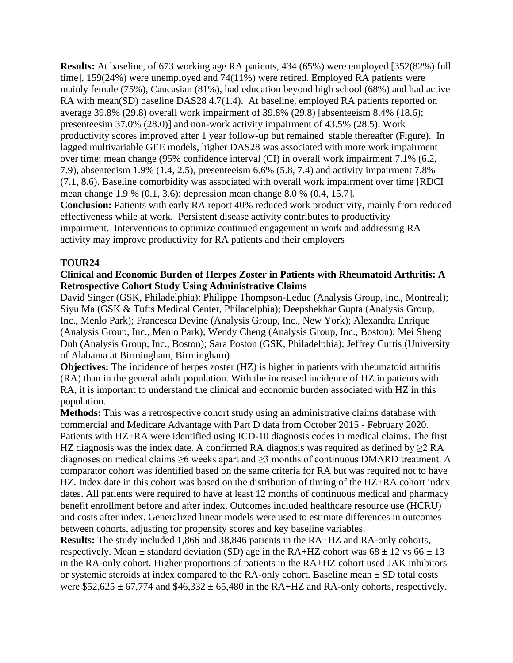**Results:** At baseline, of 673 working age RA patients, 434 (65%) were employed [352(82%) full time], 159(24%) were unemployed and 74(11%) were retired. Employed RA patients were mainly female (75%), Caucasian (81%), had education beyond high school (68%) and had active RA with mean(SD) baseline DAS28 4.7(1.4). At baseline, employed RA patients reported on average 39.8% (29.8) overall work impairment of 39.8% (29.8) [absenteeism 8.4% (18.6); presenteesim 37.0% (28.0)] and non-work activity impairment of 43.5% (28.5). Work productivity scores improved after 1 year follow-up but remained stable thereafter (Figure). In lagged multivariable GEE models, higher DAS28 was associated with more work impairment over time; mean change (95% confidence interval (CI) in overall work impairment 7.1% (6.2, 7.9), absenteeism 1.9% (1.4, 2.5), presenteeism 6.6% (5.8, 7.4) and activity impairment 7.8% (7.1, 8.6). Baseline comorbidity was associated with overall work impairment over time [RDCI mean change 1.9 % (0.1, 3.6); depression mean change 8.0 % (0.4, 15.7].

**Conclusion:** Patients with early RA report 40% reduced work productivity, mainly from reduced effectiveness while at work. Persistent disease activity contributes to productivity impairment. Interventions to optimize continued engagement in work and addressing RA activity may improve productivity for RA patients and their employers

### **TOUR24**

### **Clinical and Economic Burden of Herpes Zoster in Patients with Rheumatoid Arthritis: A Retrospective Cohort Study Using Administrative Claims**

David Singer (GSK, Philadelphia); Philippe Thompson-Leduc (Analysis Group, Inc., Montreal); Siyu Ma (GSK & Tufts Medical Center, Philadelphia); Deepshekhar Gupta (Analysis Group, Inc., Menlo Park); Francesca Devine (Analysis Group, Inc., New York); Alexandra Enrique (Analysis Group, Inc., Menlo Park); Wendy Cheng (Analysis Group, Inc., Boston); Mei Sheng Duh (Analysis Group, Inc., Boston); Sara Poston (GSK, Philadelphia); Jeffrey Curtis (University of Alabama at Birmingham, Birmingham)

**Objectives:** The incidence of herpes zoster (HZ) is higher in patients with rheumatoid arthritis (RA) than in the general adult population. With the increased incidence of HZ in patients with RA, it is important to understand the clinical and economic burden associated with HZ in this population.

**Methods:** This was a retrospective cohort study using an administrative claims database with commercial and Medicare Advantage with Part D data from October 2015 - February 2020. Patients with HZ+RA were identified using ICD-10 diagnosis codes in medical claims. The first HZ diagnosis was the index date. A confirmed RA diagnosis was required as defined by > 2 RA diagnoses on medical claims ≥6 weeks apart and ≥3 months of continuous DMARD treatment. A comparator cohort was identified based on the same criteria for RA but was required not to have HZ. Index date in this cohort was based on the distribution of timing of the HZ+RA cohort index dates. All patients were required to have at least 12 months of continuous medical and pharmacy benefit enrollment before and after index. Outcomes included healthcare resource use (HCRU) and costs after index. Generalized linear models were used to estimate differences in outcomes between cohorts, adjusting for propensity scores and key baseline variables.

**Results:** The study included 1,866 and 38,846 patients in the RA+HZ and RA-only cohorts, respectively. Mean  $\pm$  standard deviation (SD) age in the RA+HZ cohort was 68  $\pm$  12 vs 66  $\pm$  13 in the RA-only cohort. Higher proportions of patients in the RA+HZ cohort used JAK inhibitors or systemic steroids at index compared to the RA-only cohort. Baseline mean  $\pm$  SD total costs were  $$52,625 \pm 67,774$  and  $$46,332 \pm 65,480$  in the RA+HZ and RA-only cohorts, respectively.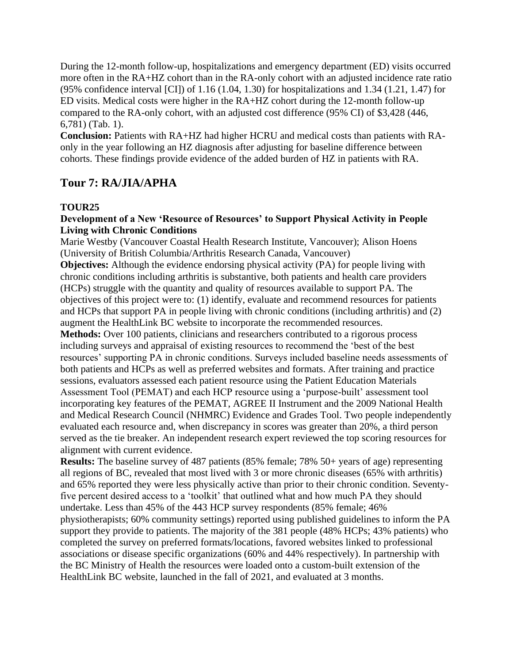During the 12-month follow-up, hospitalizations and emergency department (ED) visits occurred more often in the RA+HZ cohort than in the RA-only cohort with an adjusted incidence rate ratio (95% confidence interval [CI]) of 1.16 (1.04, 1.30) for hospitalizations and 1.34 (1.21, 1.47) for ED visits. Medical costs were higher in the RA+HZ cohort during the 12-month follow-up compared to the RA-only cohort, with an adjusted cost difference (95% CI) of \$3,428 (446, 6,781) (Tab. 1).

**Conclusion:** Patients with RA+HZ had higher HCRU and medical costs than patients with RAonly in the year following an HZ diagnosis after adjusting for baseline difference between cohorts. These findings provide evidence of the added burden of HZ in patients with RA.

# **Tour 7: RA/JIA/APHA**

## **TOUR25**

### **Development of a New 'Resource of Resources' to Support Physical Activity in People Living with Chronic Conditions**

Marie Westby (Vancouver Coastal Health Research Institute, Vancouver); Alison Hoens (University of British Columbia/Arthritis Research Canada, Vancouver)

**Objectives:** Although the evidence endorsing physical activity (PA) for people living with chronic conditions including arthritis is substantive, both patients and health care providers (HCPs) struggle with the quantity and quality of resources available to support PA. The objectives of this project were to: (1) identify, evaluate and recommend resources for patients and HCPs that support PA in people living with chronic conditions (including arthritis) and (2) augment the HealthLink BC website to incorporate the recommended resources.

**Methods:** Over 100 patients, clinicians and researchers contributed to a rigorous process including surveys and appraisal of existing resources to recommend the 'best of the best resources' supporting PA in chronic conditions. Surveys included baseline needs assessments of both patients and HCPs as well as preferred websites and formats. After training and practice sessions, evaluators assessed each patient resource using the Patient Education Materials Assessment Tool (PEMAT) and each HCP resource using a 'purpose-built' assessment tool incorporating key features of the PEMAT, AGREE II Instrument and the 2009 National Health and Medical Research Council (NHMRC) Evidence and Grades Tool. Two people independently evaluated each resource and, when discrepancy in scores was greater than 20%, a third person served as the tie breaker. An independent research expert reviewed the top scoring resources for alignment with current evidence.

**Results:** The baseline survey of 487 patients (85% female; 78% 50+ years of age) representing all regions of BC, revealed that most lived with 3 or more chronic diseases (65% with arthritis) and 65% reported they were less physically active than prior to their chronic condition. Seventyfive percent desired access to a 'toolkit' that outlined what and how much PA they should undertake. Less than 45% of the 443 HCP survey respondents (85% female; 46% physiotherapists; 60% community settings) reported using published guidelines to inform the PA support they provide to patients. The majority of the 381 people (48% HCPs; 43% patients) who completed the survey on preferred formats/locations, favored websites linked to professional associations or disease specific organizations (60% and 44% respectively). In partnership with the BC Ministry of Health the resources were loaded onto a custom-built extension of the HealthLink BC website, launched in the fall of 2021, and evaluated at 3 months.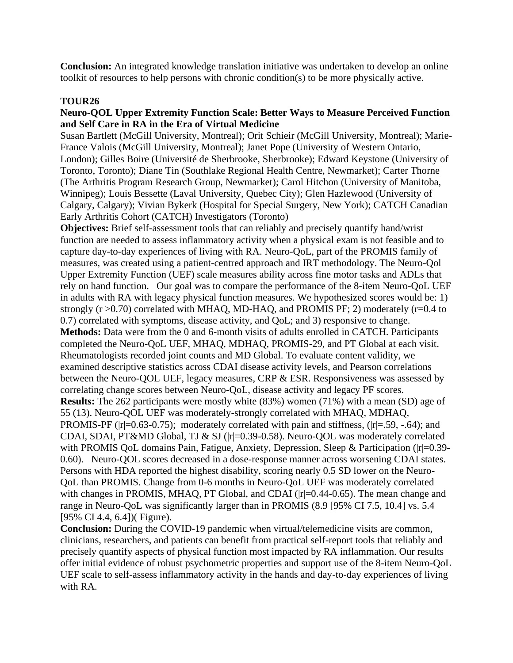**Conclusion:** An integrated knowledge translation initiative was undertaken to develop an online toolkit of resources to help persons with chronic condition(s) to be more physically active.

### **TOUR26**

### **Neuro-QOL Upper Extremity Function Scale: Better Ways to Measure Perceived Function and Self Care in RA in the Era of Virtual Medicine**

Susan Bartlett (McGill University, Montreal); Orit Schieir (McGill University, Montreal); Marie-France Valois (McGill University, Montreal); Janet Pope (University of Western Ontario, London); Gilles Boire (Université de Sherbrooke, Sherbrooke); Edward Keystone (University of Toronto, Toronto); Diane Tin (Southlake Regional Health Centre, Newmarket); Carter Thorne (The Arthritis Program Research Group, Newmarket); Carol Hitchon (University of Manitoba, Winnipeg); Louis Bessette (Laval University, Quebec City); Glen Hazlewood (University of Calgary, Calgary); Vivian Bykerk (Hospital for Special Surgery, New York); CATCH Canadian Early Arthritis Cohort (CATCH) Investigators (Toronto)

**Objectives:** Brief self-assessment tools that can reliably and precisely quantify hand/wrist function are needed to assess inflammatory activity when a physical exam is not feasible and to capture day-to-day experiences of living with RA. Neuro-QoL, part of the PROMIS family of measures, was created using a patient-centred approach and IRT methodology. The Neuro-Qol Upper Extremity Function (UEF) scale measures ability across fine motor tasks and ADLs that rely on hand function. Our goal was to compare the performance of the 8-item Neuro-QoL UEF in adults with RA with legacy physical function measures. We hypothesized scores would be: 1) strongly  $(r > 0.70)$  correlated with MHAQ, MD-HAQ, and PROMIS PF; 2) moderately  $(r = 0.4$  to 0.7) correlated with symptoms, disease activity, and QoL; and 3) responsive to change. **Methods:** Data were from the 0 and 6-month visits of adults enrolled in CATCH. Participants completed the Neuro-QoL UEF, MHAQ, MDHAQ, PROMIS-29, and PT Global at each visit. Rheumatologists recorded joint counts and MD Global. To evaluate content validity, we examined descriptive statistics across CDAI disease activity levels, and Pearson correlations between the Neuro-QOL UEF, legacy measures, CRP & ESR. Responsiveness was assessed by correlating change scores between Neuro-QoL, disease activity and legacy PF scores. **Results:** The 262 participants were mostly white (83%) women (71%) with a mean (SD) age of 55 (13). Neuro-QOL UEF was moderately-strongly correlated with MHAQ, MDHAQ, PROMIS-PF ( $|r|=0.63-0.75$ ); moderately correlated with pain and stiffness,  $(|r|=0.59, -.64)$ ; and CDAI, SDAI, PT&MD Global, TJ & SJ (|r|=0.39-0.58). Neuro-QOL was moderately correlated with PROMIS QoL domains Pain, Fatigue, Anxiety, Depression, Sleep & Participation ( $|r|=0.39-$ 0.60). Neuro-QOL scores decreased in a dose-response manner across worsening CDAI states. Persons with HDA reported the highest disability, scoring nearly 0.5 SD lower on the Neuro-QoL than PROMIS. Change from 0-6 months in Neuro-QoL UEF was moderately correlated with changes in PROMIS, MHAQ, PT Global, and CDAI ( $|r|=0.44-0.65$ ). The mean change and range in Neuro-QoL was significantly larger than in PROMIS (8.9 [95% CI 7.5, 10.4] vs. 5.4 [95% CI 4.4, 6.4])( Figure).

**Conclusion:** During the COVID-19 pandemic when virtual/telemedicine visits are common, clinicians, researchers, and patients can benefit from practical self-report tools that reliably and precisely quantify aspects of physical function most impacted by RA inflammation. Our results offer initial evidence of robust psychometric properties and support use of the 8-item Neuro-QoL UEF scale to self-assess inflammatory activity in the hands and day-to-day experiences of living with RA.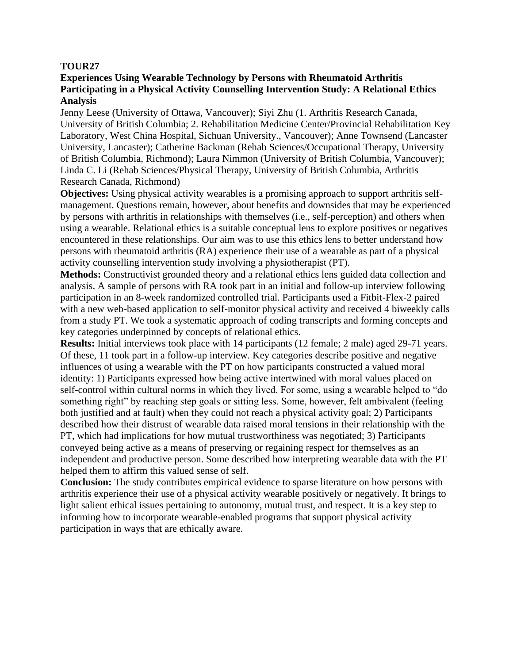### **Experiences Using Wearable Technology by Persons with Rheumatoid Arthritis Participating in a Physical Activity Counselling Intervention Study: A Relational Ethics Analysis**

Jenny Leese (University of Ottawa, Vancouver); Siyi Zhu (1. Arthritis Research Canada, University of British Columbia; 2. Rehabilitation Medicine Center/Provincial Rehabilitation Key Laboratory, West China Hospital, Sichuan University., Vancouver); Anne Townsend (Lancaster University, Lancaster); Catherine Backman (Rehab Sciences/Occupational Therapy, University of British Columbia, Richmond); Laura Nimmon (University of British Columbia, Vancouver); Linda C. Li (Rehab Sciences/Physical Therapy, University of British Columbia, Arthritis Research Canada, Richmond)

**Objectives:** Using physical activity wearables is a promising approach to support arthritis selfmanagement. Questions remain, however, about benefits and downsides that may be experienced by persons with arthritis in relationships with themselves (i.e., self-perception) and others when using a wearable. Relational ethics is a suitable conceptual lens to explore positives or negatives encountered in these relationships. Our aim was to use this ethics lens to better understand how persons with rheumatoid arthritis (RA) experience their use of a wearable as part of a physical activity counselling intervention study involving a physiotherapist (PT).

**Methods:** Constructivist grounded theory and a relational ethics lens guided data collection and analysis. A sample of persons with RA took part in an initial and follow-up interview following participation in an 8-week randomized controlled trial. Participants used a Fitbit-Flex-2 paired with a new web-based application to self-monitor physical activity and received 4 biweekly calls from a study PT. We took a systematic approach of coding transcripts and forming concepts and key categories underpinned by concepts of relational ethics.

**Results:** Initial interviews took place with 14 participants (12 female; 2 male) aged 29-71 years. Of these, 11 took part in a follow-up interview. Key categories describe positive and negative influences of using a wearable with the PT on how participants constructed a valued moral identity: 1) Participants expressed how being active intertwined with moral values placed on self-control within cultural norms in which they lived. For some, using a wearable helped to "do something right" by reaching step goals or sitting less. Some, however, felt ambivalent (feeling both justified and at fault) when they could not reach a physical activity goal; 2) Participants described how their distrust of wearable data raised moral tensions in their relationship with the PT, which had implications for how mutual trustworthiness was negotiated; 3) Participants conveyed being active as a means of preserving or regaining respect for themselves as an independent and productive person. Some described how interpreting wearable data with the PT helped them to affirm this valued sense of self.

**Conclusion:** The study contributes empirical evidence to sparse literature on how persons with arthritis experience their use of a physical activity wearable positively or negatively. It brings to light salient ethical issues pertaining to autonomy, mutual trust, and respect. It is a key step to informing how to incorporate wearable-enabled programs that support physical activity participation in ways that are ethically aware.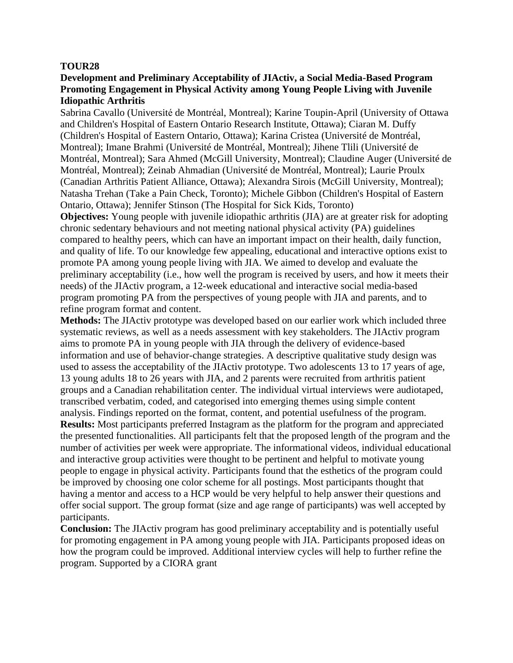### **Development and Preliminary Acceptability of JIActiv, a Social Media-Based Program Promoting Engagement in Physical Activity among Young People Living with Juvenile Idiopathic Arthritis**

Sabrina Cavallo (Université de Montréal, Montreal); Karine Toupin-April (University of Ottawa and Children's Hospital of Eastern Ontario Research Institute, Ottawa); Ciaran M. Duffy (Children's Hospital of Eastern Ontario, Ottawa); Karina Cristea (Université de Montréal, Montreal); Imane Brahmi (Université de Montréal, Montreal); Jihene Tlili (Université de Montréal, Montreal); Sara Ahmed (McGill University, Montreal); Claudine Auger (Université de Montréal, Montreal); Zeinab Ahmadian (Université de Montréal, Montreal); Laurie Proulx (Canadian Arthritis Patient Alliance, Ottawa); Alexandra Sirois (McGill University, Montreal); Natasha Trehan (Take a Pain Check, Toronto); Michele Gibbon (Children's Hospital of Eastern Ontario, Ottawa); Jennifer Stinson (The Hospital for Sick Kids, Toronto)

**Objectives:** Young people with juvenile idiopathic arthritis (JIA) are at greater risk for adopting chronic sedentary behaviours and not meeting national physical activity (PA) guidelines compared to healthy peers, which can have an important impact on their health, daily function, and quality of life. To our knowledge few appealing, educational and interactive options exist to promote PA among young people living with JIA. We aimed to develop and evaluate the preliminary acceptability (i.e., how well the program is received by users, and how it meets their needs) of the JIActiv program, a 12-week educational and interactive social media-based program promoting PA from the perspectives of young people with JIA and parents, and to refine program format and content.

**Methods:** The JIActiv prototype was developed based on our earlier work which included three systematic reviews, as well as a needs assessment with key stakeholders. The JIActiv program aims to promote PA in young people with JIA through the delivery of evidence-based information and use of behavior-change strategies. A descriptive qualitative study design was used to assess the acceptability of the JIActiv prototype. Two adolescents 13 to 17 years of age, 13 young adults 18 to 26 years with JIA, and 2 parents were recruited from arthritis patient groups and a Canadian rehabilitation center. The individual virtual interviews were audiotaped, transcribed verbatim, coded, and categorised into emerging themes using simple content analysis. Findings reported on the format, content, and potential usefulness of the program. **Results:** Most participants preferred Instagram as the platform for the program and appreciated the presented functionalities. All participants felt that the proposed length of the program and the number of activities per week were appropriate. The informational videos, individual educational and interactive group activities were thought to be pertinent and helpful to motivate young people to engage in physical activity. Participants found that the esthetics of the program could be improved by choosing one color scheme for all postings. Most participants thought that having a mentor and access to a HCP would be very helpful to help answer their questions and offer social support. The group format (size and age range of participants) was well accepted by participants.

**Conclusion:** The JIActiv program has good preliminary acceptability and is potentially useful for promoting engagement in PA among young people with JIA. Participants proposed ideas on how the program could be improved. Additional interview cycles will help to further refine the program. Supported by a CIORA grant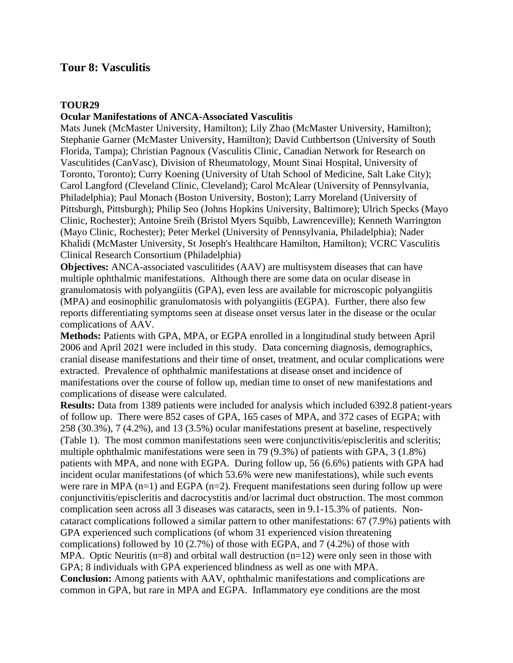## **Tour 8: Vasculitis**

### **TOUR29**

#### **Ocular Manifestations of ANCA-Associated Vasculitis**

Mats Junek (McMaster University, Hamilton); Lily Zhao (McMaster University, Hamilton); Stephanie Garner (McMaster University, Hamilton); David Cuthbertson (University of South Florida, Tampa); Christian Pagnoux (Vasculitis Clinic, Canadian Network for Research on Vasculitides (CanVasc), Division of Rheumatology, Mount Sinai Hospital, University of Toronto, Toronto); Curry Koening (University of Utah School of Medicine, Salt Lake City); Carol Langford (Cleveland Clinic, Cleveland); Carol McAlear (University of Pennsylvania, Philadelphia); Paul Monach (Boston University, Boston); Larry Moreland (University of Pittsburgh, Pittsburgh); Philip Seo (Johns Hopkins University, Baltimore); Ulrich Specks (Mayo Clinic, Rochester); Antoine Sreih (Bristol Myers Squibb, Lawrenceville); Kenneth Warrington (Mayo Clinic, Rochester); Peter Merkel (University of Pennsylvania, Philadelphia); Nader Khalidi (McMaster University, St Joseph's Healthcare Hamilton, Hamilton); VCRC Vasculitis Clinical Research Consortium (Philadelphia)

**Objectives:** ANCA-associated vasculitides (AAV) are multisystem diseases that can have multiple ophthalmic manifestations. Although there are some data on ocular disease in granulomatosis with polyangiitis (GPA), even less are available for microscopic polyangiitis (MPA) and eosinophilic granulomatosis with polyangiitis (EGPA). Further, there also few reports differentiating symptoms seen at disease onset versus later in the disease or the ocular complications of AAV.

**Methods:** Patients with GPA, MPA, or EGPA enrolled in a longitudinal study between April 2006 and April 2021 were included in this study. Data concerning diagnosis, demographics, cranial disease manifestations and their time of onset, treatment, and ocular complications were extracted. Prevalence of ophthalmic manifestations at disease onset and incidence of manifestations over the course of follow up, median time to onset of new manifestations and complications of disease were calculated.

**Results:** Data from 1389 patients were included for analysis which included 6392.8 patient-years of follow up. There were 852 cases of GPA, 165 cases of MPA, and 372 cases of EGPA; with 258 (30.3%), 7 (4.2%), and 13 (3.5%) ocular manifestations present at baseline, respectively (Table 1). The most common manifestations seen were conjunctivitis/episcleritis and scleritis; multiple ophthalmic manifestations were seen in 79 (9.3%) of patients with GPA, 3 (1.8%) patients with MPA, and none with EGPA. During follow up, 56 (6.6%) patients with GPA had incident ocular manifestations (of which 53.6% were new manifestations), while such events were rare in MPA  $(n=1)$  and EGPA  $(n=2)$ . Frequent manifestations seen during follow up were conjunctivitis/episcleritis and dacrocystitis and/or lacrimal duct obstruction. The most common complication seen across all 3 diseases was cataracts, seen in 9.1-15.3% of patients. Noncataract complications followed a similar pattern to other manifestations: 67 (7.9%) patients with GPA experienced such complications (of whom 31 experienced vision threatening complications) followed by 10 (2.7%) of those with EGPA, and 7 (4.2%) of those with MPA. Optic Neuritis ( $n=8$ ) and orbital wall destruction ( $n=12$ ) were only seen in those with GPA; 8 individuals with GPA experienced blindness as well as one with MPA. **Conclusion:** Among patients with AAV, ophthalmic manifestations and complications are common in GPA, but rare in MPA and EGPA. Inflammatory eye conditions are the most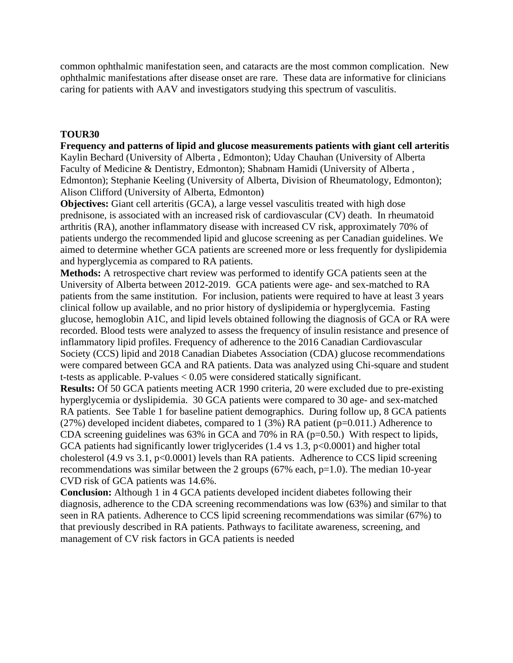common ophthalmic manifestation seen, and cataracts are the most common complication. New ophthalmic manifestations after disease onset are rare. These data are informative for clinicians caring for patients with AAV and investigators studying this spectrum of vasculitis.

#### **TOUR30**

**Frequency and patterns of lipid and glucose measurements patients with giant cell arteritis** Kaylin Bechard (University of Alberta , Edmonton); Uday Chauhan (University of Alberta Faculty of Medicine & Dentistry, Edmonton); Shabnam Hamidi (University of Alberta , Edmonton); Stephanie Keeling (University of Alberta, Division of Rheumatology, Edmonton); Alison Clifford (University of Alberta, Edmonton)

**Objectives:** Giant cell arteritis (GCA), a large vessel vasculitis treated with high dose prednisone, is associated with an increased risk of cardiovascular (CV) death. In rheumatoid arthritis (RA), another inflammatory disease with increased CV risk, approximately 70% of patients undergo the recommended lipid and glucose screening as per Canadian guidelines. We aimed to determine whether GCA patients are screened more or less frequently for dyslipidemia and hyperglycemia as compared to RA patients.

**Methods:** A retrospective chart review was performed to identify GCA patients seen at the University of Alberta between 2012-2019. GCA patients were age- and sex-matched to RA patients from the same institution. For inclusion, patients were required to have at least 3 years clinical follow up available, and no prior history of dyslipidemia or hyperglycemia. Fasting glucose, hemoglobin A1C, and lipid levels obtained following the diagnosis of GCA or RA were recorded. Blood tests were analyzed to assess the frequency of insulin resistance and presence of inflammatory lipid profiles. Frequency of adherence to the 2016 Canadian Cardiovascular Society (CCS) lipid and 2018 Canadian Diabetes Association (CDA) glucose recommendations were compared between GCA and RA patients. Data was analyzed using Chi-square and student t-tests as applicable. P-values < 0.05 were considered statically significant.

**Results:** Of 50 GCA patients meeting ACR 1990 criteria, 20 were excluded due to pre-existing hyperglycemia or dyslipidemia. 30 GCA patients were compared to 30 age- and sex-matched RA patients. See Table 1 for baseline patient demographics. During follow up, 8 GCA patients (27%) developed incident diabetes, compared to  $1(3\%)$  RA patient (p=0.011.) Adherence to CDA screening guidelines was  $63\%$  in GCA and  $70\%$  in RA ( $p=0.50$ .) With respect to lipids, GCA patients had significantly lower triglycerides  $(1.4 \text{ vs } 1.3, \text{ p} < 0.0001)$  and higher total cholesterol (4.9 vs 3.1, p<0.0001) levels than RA patients. Adherence to CCS lipid screening recommendations was similar between the 2 groups ( $67\%$  each,  $p=1.0$ ). The median 10-year CVD risk of GCA patients was 14.6%.

**Conclusion:** Although 1 in 4 GCA patients developed incident diabetes following their diagnosis, adherence to the CDA screening recommendations was low (63%) and similar to that seen in RA patients. Adherence to CCS lipid screening recommendations was similar (67%) to that previously described in RA patients. Pathways to facilitate awareness, screening, and management of CV risk factors in GCA patients is needed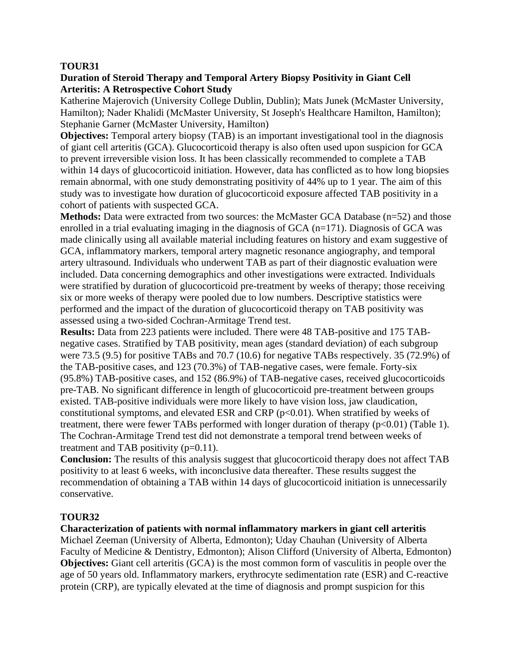### **Duration of Steroid Therapy and Temporal Artery Biopsy Positivity in Giant Cell Arteritis: A Retrospective Cohort Study**

Katherine Majerovich (University College Dublin, Dublin); Mats Junek (McMaster University, Hamilton); Nader Khalidi (McMaster University, St Joseph's Healthcare Hamilton, Hamilton); Stephanie Garner (McMaster University, Hamilton)

**Objectives:** Temporal artery biopsy (TAB) is an important investigational tool in the diagnosis of giant cell arteritis (GCA). Glucocorticoid therapy is also often used upon suspicion for GCA to prevent irreversible vision loss. It has been classically recommended to complete a TAB within 14 days of glucocorticoid initiation. However, data has conflicted as to how long biopsies remain abnormal, with one study demonstrating positivity of 44% up to 1 year. The aim of this study was to investigate how duration of glucocorticoid exposure affected TAB positivity in a cohort of patients with suspected GCA.

**Methods:** Data were extracted from two sources: the McMaster GCA Database (n=52) and those enrolled in a trial evaluating imaging in the diagnosis of GCA  $(n=171)$ . Diagnosis of GCA was made clinically using all available material including features on history and exam suggestive of GCA, inflammatory markers, temporal artery magnetic resonance angiography, and temporal artery ultrasound. Individuals who underwent TAB as part of their diagnostic evaluation were included. Data concerning demographics and other investigations were extracted. Individuals were stratified by duration of glucocorticoid pre-treatment by weeks of therapy; those receiving six or more weeks of therapy were pooled due to low numbers. Descriptive statistics were performed and the impact of the duration of glucocorticoid therapy on TAB positivity was assessed using a two-sided Cochran-Armitage Trend test.

**Results:** Data from 223 patients were included. There were 48 TAB-positive and 175 TABnegative cases. Stratified by TAB positivity, mean ages (standard deviation) of each subgroup were 73.5 (9.5) for positive TABs and 70.7 (10.6) for negative TABs respectively. 35 (72.9%) of the TAB-positive cases, and 123 (70.3%) of TAB-negative cases, were female. Forty-six (95.8%) TAB-positive cases, and 152 (86.9%) of TAB-negative cases, received glucocorticoids pre-TAB. No significant difference in length of glucocorticoid pre-treatment between groups existed. TAB-positive individuals were more likely to have vision loss, jaw claudication, constitutional symptoms, and elevated ESR and CRP  $(p<0.01)$ . When stratified by weeks of treatment, there were fewer TABs performed with longer duration of therapy  $(p<0.01)$  (Table 1). The Cochran-Armitage Trend test did not demonstrate a temporal trend between weeks of treatment and TAB positivity  $(p=0.11)$ .

**Conclusion:** The results of this analysis suggest that glucocorticoid therapy does not affect TAB positivity to at least 6 weeks, with inconclusive data thereafter. These results suggest the recommendation of obtaining a TAB within 14 days of glucocorticoid initiation is unnecessarily conservative.

### **TOUR32**

### **Characterization of patients with normal inflammatory markers in giant cell arteritis**

Michael Zeeman (University of Alberta, Edmonton); Uday Chauhan (University of Alberta Faculty of Medicine & Dentistry, Edmonton); Alison Clifford (University of Alberta, Edmonton) **Objectives:** Giant cell arteritis (GCA) is the most common form of vasculitis in people over the age of 50 years old. Inflammatory markers, erythrocyte sedimentation rate (ESR) and C-reactive protein (CRP), are typically elevated at the time of diagnosis and prompt suspicion for this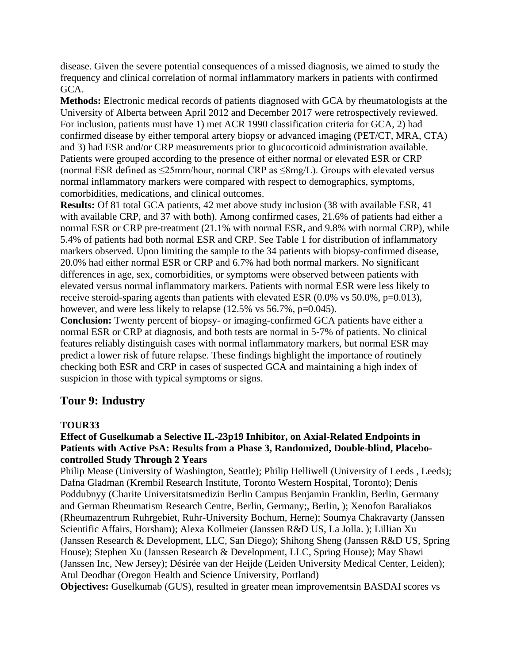disease. Given the severe potential consequences of a missed diagnosis, we aimed to study the frequency and clinical correlation of normal inflammatory markers in patients with confirmed GCA.

**Methods:** Electronic medical records of patients diagnosed with GCA by rheumatologists at the University of Alberta between April 2012 and December 2017 were retrospectively reviewed. For inclusion, patients must have 1) met ACR 1990 classification criteria for GCA, 2) had confirmed disease by either temporal artery biopsy or advanced imaging (PET/CT, MRA, CTA) and 3) had ESR and/or CRP measurements prior to glucocorticoid administration available. Patients were grouped according to the presence of either normal or elevated ESR or CRP (normal ESR defined as  $\leq$ 25mm/hour, normal CRP as  $\leq$ 8mg/L). Groups with elevated versus normal inflammatory markers were compared with respect to demographics, symptoms, comorbidities, medications, and clinical outcomes.

**Results:** Of 81 total GCA patients, 42 met above study inclusion (38 with available ESR, 41 with available CRP, and 37 with both). Among confirmed cases, 21.6% of patients had either a normal ESR or CRP pre-treatment (21.1% with normal ESR, and 9.8% with normal CRP), while 5.4% of patients had both normal ESR and CRP. See Table 1 for distribution of inflammatory markers observed. Upon limiting the sample to the 34 patients with biopsy-confirmed disease, 20.0% had either normal ESR or CRP and 6.7% had both normal markers. No significant differences in age, sex, comorbidities, or symptoms were observed between patients with elevated versus normal inflammatory markers. Patients with normal ESR were less likely to receive steroid-sparing agents than patients with elevated ESR (0.0% vs 50.0%, p=0.013), however, and were less likely to relapse (12.5% vs 56.7%, p=0.045).

**Conclusion:** Twenty percent of biopsy- or imaging-confirmed GCA patients have either a normal ESR or CRP at diagnosis, and both tests are normal in 5-7% of patients. No clinical features reliably distinguish cases with normal inflammatory markers, but normal ESR may predict a lower risk of future relapse. These findings highlight the importance of routinely checking both ESR and CRP in cases of suspected GCA and maintaining a high index of suspicion in those with typical symptoms or signs.

## **Tour 9: Industry**

### **TOUR33**

### **Effect of Guselkumab a Selective IL-23p19 Inhibitor, on Axial-Related Endpoints in Patients with Active PsA: Results from a Phase 3, Randomized, Double-blind, Placebocontrolled Study Through 2 Years**

Philip Mease (University of Washington, Seattle); Philip Helliwell (University of Leeds , Leeds); Dafna Gladman (Krembil Research Institute, Toronto Western Hospital, Toronto); Denis Poddubnyy (Charite Universitatsmedizin Berlin Campus Benjamin Franklin, Berlin, Germany and German Rheumatism Research Centre, Berlin, Germany;, Berlin, ); Xenofon Baraliakos (Rheumazentrum Ruhrgebiet, Ruhr-University Bochum, Herne); Soumya Chakravarty (Janssen Scientific Affairs, Horsham); Alexa Kollmeier (Janssen R&D US, La Jolla. ); Lillian Xu (Janssen Research & Development, LLC, San Diego); Shihong Sheng (Janssen R&D US, Spring House); Stephen Xu (Janssen Research & Development, LLC, Spring House); May Shawi (Janssen Inc, New Jersey); Désirée van der Heijde (Leiden University Medical Center, Leiden); Atul Deodhar (Oregon Health and Science University, Portland)

**Objectives:** Guselkumab (GUS), resulted in greater mean improvementsin BASDAI scores vs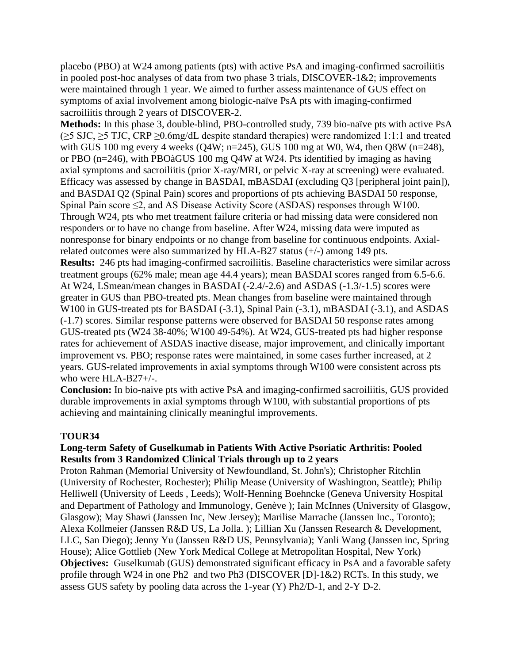placebo (PBO) at W24 among patients (pts) with active PsA and imaging-confirmed sacroiliitis in pooled post-hoc analyses of data from two phase 3 trials, DISCOVER-1&2; improvements were maintained through 1 year. We aimed to further assess maintenance of GUS effect on symptoms of axial involvement among biologic-naïve PsA pts with imaging-confirmed sacroiliitis through 2 years of DISCOVER-2.

**Methods:** In this phase 3, double-blind, PBO-controlled study, 739 bio-naïve pts with active PsA (≥5 SJC, ≥5 TJC, CRP ≥0.6mg/dL despite standard therapies) were randomized 1:1:1 and treated with GUS 100 mg every 4 weeks (Q4W; n=245), GUS 100 mg at W0, W4, then Q8W (n=248), or PBO (n=246), with PBOàGUS 100 mg Q4W at W24. Pts identified by imaging as having axial symptoms and sacroiliitis (prior X-ray/MRI, or pelvic X-ray at screening) were evaluated. Efficacy was assessed by change in BASDAI, mBASDAI (excluding Q3 [peripheral joint pain]), and BASDAI Q2 (Spinal Pain) scores and proportions of pts achieving BASDAI 50 response, Spinal Pain score  $\leq$ 2, and AS Disease Activity Score (ASDAS) responses through W100. Through W24, pts who met treatment failure criteria or had missing data were considered non responders or to have no change from baseline. After W24, missing data were imputed as nonresponse for binary endpoints or no change from baseline for continuous endpoints. Axialrelated outcomes were also summarized by HLA-B27 status (+/-) among 149 pts. **Results:** 246 pts had imaging-confirmed sacroiliitis. Baseline characteristics were similar across treatment groups (62% male; mean age 44.4 years); mean BASDAI scores ranged from 6.5-6.6. At W24, LSmean/mean changes in BASDAI (-2.4/-2.6) and ASDAS (-1.3/-1.5) scores were greater in GUS than PBO-treated pts. Mean changes from baseline were maintained through W100 in GUS-treated pts for BASDAI (-3.1), Spinal Pain (-3.1), mBASDAI (-3.1), and ASDAS (-1.7) scores. Similar response patterns were observed for BASDAI 50 response rates among GUS-treated pts (W24 38-40%; W100 49-54%). At W24, GUS-treated pts had higher response rates for achievement of ASDAS inactive disease, major improvement, and clinically important improvement vs. PBO; response rates were maintained, in some cases further increased, at 2 years. GUS-related improvements in axial symptoms through W100 were consistent across pts who were HLA-B27+/-.

**Conclusion:** In bio-naive pts with active PsA and imaging-confirmed sacroiliitis, GUS provided durable improvements in axial symptoms through W100, with substantial proportions of pts achieving and maintaining clinically meaningful improvements.

### **TOUR34**

### **Long-term Safety of Guselkumab in Patients With Active Psoriatic Arthritis: Pooled Results from 3 Randomized Clinical Trials through up to 2 years**

Proton Rahman (Memorial University of Newfoundland, St. John's); Christopher Ritchlin (University of Rochester, Rochester); Philip Mease (University of Washington, Seattle); Philip Helliwell (University of Leeds , Leeds); Wolf-Henning Boehncke (Geneva University Hospital and Department of Pathology and Immunology, Genève ); Iain McInnes (University of Glasgow, Glasgow); May Shawi (Janssen Inc, New Jersey); Marilise Marrache (Janssen Inc., Toronto); Alexa Kollmeier (Janssen R&D US, La Jolla. ); Lillian Xu (Janssen Research & Development, LLC, San Diego); Jenny Yu (Janssen R&D US, Pennsylvania); Yanli Wang (Janssen inc, Spring House); Alice Gottlieb (New York Medical College at Metropolitan Hospital, New York) **Objectives:** Guselkumab (GUS) demonstrated significant efficacy in PsA and a favorable safety profile through W24 in one Ph2 and two Ph3 (DISCOVER [D]-1&2) RCTs. In this study, we assess GUS safety by pooling data across the 1-year (Y) Ph2/D-1, and 2-Y D-2.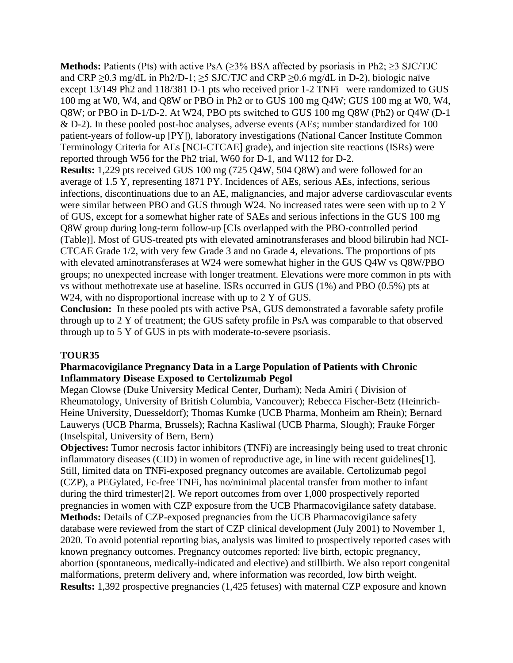**Methods:** Patients (Pts) with active PsA  $(\geq)$ <sup>3%</sup> BSA affected by psoriasis in Ph2;  $\geq$ 3 SJC/TJC and CRP  $\geq$ 0.3 mg/dL in Ph2/D-1;  $\geq$ 5 SJC/TJC and CRP  $\geq$ 0.6 mg/dL in D-2), biologic naïve except 13/149 Ph2 and 118/381 D-1 pts who received prior 1-2 TNFi were randomized to GUS 100 mg at W0, W4, and Q8W or PBO in Ph2 or to GUS 100 mg Q4W; GUS 100 mg at W0, W4, Q8W; or PBO in D-1/D-2. At W24, PBO pts switched to GUS 100 mg Q8W (Ph2) or Q4W (D-1 & D-2). In these pooled post-hoc analyses, adverse events (AEs; number standardized for 100 patient-years of follow-up [PY]), laboratory investigations (National Cancer Institute Common Terminology Criteria for AEs [NCI-CTCAE] grade), and injection site reactions (ISRs) were reported through W56 for the Ph2 trial, W60 for D-1, and W112 for D-2.

**Results:** 1,229 pts received GUS 100 mg (725 Q4W, 504 Q8W) and were followed for an average of 1.5 Y, representing 1871 PY. Incidences of AEs, serious AEs, infections, serious infections, discontinuations due to an AE, malignancies, and major adverse cardiovascular events were similar between PBO and GUS through W24. No increased rates were seen with up to 2 Y of GUS, except for a somewhat higher rate of SAEs and serious infections in the GUS 100 mg Q8W group during long-term follow-up [CIs overlapped with the PBO-controlled period (Table)]. Most of GUS-treated pts with elevated aminotransferases and blood bilirubin had NCI-CTCAE Grade 1/2, with very few Grade 3 and no Grade 4, elevations. The proportions of pts with elevated aminotransferases at W24 were somewhat higher in the GUS Q4W vs Q8W/PBO groups; no unexpected increase with longer treatment. Elevations were more common in pts with vs without methotrexate use at baseline. ISRs occurred in GUS (1%) and PBO (0.5%) pts at W24, with no disproportional increase with up to 2 Y of GUS.

**Conclusion:** In these pooled pts with active PsA, GUS demonstrated a favorable safety profile through up to 2 Y of treatment; the GUS safety profile in PsA was comparable to that observed through up to 5 Y of GUS in pts with moderate-to-severe psoriasis.

### **TOUR35**

### **Pharmacovigilance Pregnancy Data in a Large Population of Patients with Chronic Inflammatory Disease Exposed to Certolizumab Pegol**

Megan Clowse (Duke University Medical Center, Durham); Neda Amiri ( Division of Rheumatology, University of British Columbia, Vancouver); Rebecca Fischer-Betz (Heinrich-Heine University, Duesseldorf); Thomas Kumke (UCB Pharma, Monheim am Rhein); Bernard Lauwerys (UCB Pharma, Brussels); Rachna Kasliwal (UCB Pharma, Slough); Frauke Förger (Inselspital, University of Bern, Bern)

**Objectives:** Tumor necrosis factor inhibitors (TNFi) are increasingly being used to treat chronic inflammatory diseases (CID) in women of reproductive age, in line with recent guidelines[1]. Still, limited data on TNFi-exposed pregnancy outcomes are available. Certolizumab pegol (CZP), a PEGylated, Fc-free TNFi, has no/minimal placental transfer from mother to infant during the third trimester[2]. We report outcomes from over 1,000 prospectively reported pregnancies in women with CZP exposure from the UCB Pharmacovigilance safety database. **Methods:** Details of CZP-exposed pregnancies from the UCB Pharmacovigilance safety database were reviewed from the start of CZP clinical development (July 2001) to November 1, 2020. To avoid potential reporting bias, analysis was limited to prospectively reported cases with known pregnancy outcomes. Pregnancy outcomes reported: live birth, ectopic pregnancy, abortion (spontaneous, medically-indicated and elective) and stillbirth. We also report congenital malformations, preterm delivery and, where information was recorded, low birth weight. **Results:** 1,392 prospective pregnancies (1,425 fetuses) with maternal CZP exposure and known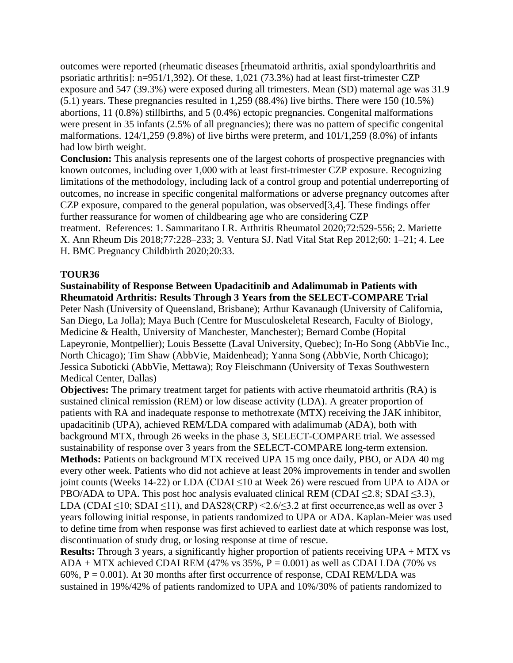outcomes were reported (rheumatic diseases [rheumatoid arthritis, axial spondyloarthritis and psoriatic arthritis]: n=951/1,392). Of these, 1,021 (73.3%) had at least first-trimester CZP exposure and 547 (39.3%) were exposed during all trimesters. Mean (SD) maternal age was 31.9 (5.1) years. These pregnancies resulted in 1,259 (88.4%) live births. There were 150 (10.5%) abortions, 11 (0.8%) stillbirths, and 5 (0.4%) ectopic pregnancies. Congenital malformations were present in 35 infants (2.5% of all pregnancies); there was no pattern of specific congenital malformations. 124/1,259 (9.8%) of live births were preterm, and 101/1,259 (8.0%) of infants had low birth weight.

**Conclusion:** This analysis represents one of the largest cohorts of prospective pregnancies with known outcomes, including over 1,000 with at least first-trimester CZP exposure. Recognizing limitations of the methodology, including lack of a control group and potential underreporting of outcomes, no increase in specific congenital malformations or adverse pregnancy outcomes after CZP exposure, compared to the general population, was observed[3,4]. These findings offer further reassurance for women of childbearing age who are considering CZP treatment. References: 1. Sammaritano LR. Arthritis Rheumatol 2020;72:529-556; 2. Mariette X. Ann Rheum Dis 2018;77:228–233; 3. Ventura SJ. Natl Vital Stat Rep 2012;60: 1–21; 4. Lee H. BMC Pregnancy Childbirth 2020;20:33.

### **TOUR36**

### **Sustainability of Response Between Upadacitinib and Adalimumab in Patients with Rheumatoid Arthritis: Results Through 3 Years from the SELECT-COMPARE Trial**

Peter Nash (University of Queensland, Brisbane); Arthur Kavanaugh (University of California, San Diego, La Jolla); Maya Buch (Centre for Musculoskeletal Research, Faculty of Biology, Medicine & Health, University of Manchester, Manchester); Bernard Combe (Hopital Lapeyronie, Montpellier); Louis Bessette (Laval University, Quebec); In-Ho Song (AbbVie Inc., North Chicago); Tim Shaw (AbbVie, Maidenhead); Yanna Song (AbbVie, North Chicago); Jessica Suboticki (AbbVie, Mettawa); Roy Fleischmann (University of Texas Southwestern Medical Center, Dallas)

**Objectives:** The primary treatment target for patients with active rheumatoid arthritis (RA) is sustained clinical remission (REM) or low disease activity (LDA). A greater proportion of patients with RA and inadequate response to methotrexate (MTX) receiving the JAK inhibitor, upadacitinib (UPA), achieved REM/LDA compared with adalimumab (ADA), both with background MTX, through 26 weeks in the phase 3, SELECT-COMPARE trial. We assessed sustainability of response over 3 years from the SELECT-COMPARE long-term extension. **Methods:** Patients on background MTX received UPA 15 mg once daily, PBO, or ADA 40 mg every other week. Patients who did not achieve at least 20% improvements in tender and swollen joint counts (Weeks 14-22) or LDA (CDAI ≤10 at Week 26) were rescued from UPA to ADA or PBO/ADA to UPA. This post hoc analysis evaluated clinical REM (CDAI  $\leq$ 2.8; SDAI  $\leq$ 3.3), LDA (CDAI  $\leq$ 10; SDAI  $\leq$ 11), and DAS28(CRP) <2.6/ $\leq$ 3.2 at first occurrence, as well as over 3 years following initial response, in patients randomized to UPA or ADA. Kaplan-Meier was used to define time from when response was first achieved to earliest date at which response was lost, discontinuation of study drug, or losing response at time of rescue.

**Results:** Through 3 years, a significantly higher proportion of patients receiving UPA + MTX vs ADA + MTX achieved CDAI REM (47% vs  $35\%$ , P = 0.001) as well as CDAI LDA (70% vs  $60\%$ ,  $P = 0.001$ ). At 30 months after first occurrence of response, CDAI REM/LDA was sustained in 19%/42% of patients randomized to UPA and 10%/30% of patients randomized to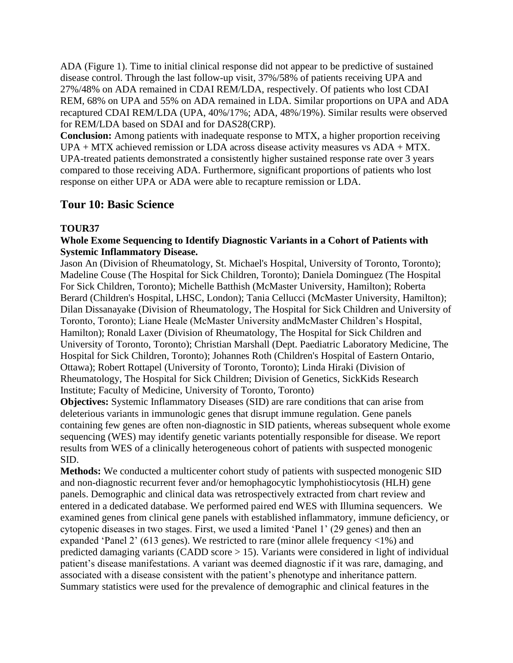ADA (Figure 1). Time to initial clinical response did not appear to be predictive of sustained disease control. Through the last follow-up visit, 37%/58% of patients receiving UPA and 27%/48% on ADA remained in CDAI REM/LDA, respectively. Of patients who lost CDAI REM, 68% on UPA and 55% on ADA remained in LDA. Similar proportions on UPA and ADA recaptured CDAI REM/LDA (UPA, 40%/17%; ADA, 48%/19%). Similar results were observed for REM/LDA based on SDAI and for DAS28(CRP).

**Conclusion:** Among patients with inadequate response to MTX, a higher proportion receiving UPA + MTX achieved remission or LDA across disease activity measures vs ADA + MTX. UPA-treated patients demonstrated a consistently higher sustained response rate over 3 years compared to those receiving ADA. Furthermore, significant proportions of patients who lost response on either UPA or ADA were able to recapture remission or LDA.

## **Tour 10: Basic Science**

### **TOUR37**

### **Whole Exome Sequencing to Identify Diagnostic Variants in a Cohort of Patients with Systemic Inflammatory Disease.**

Jason An (Division of Rheumatology, St. Michael's Hospital, University of Toronto, Toronto); Madeline Couse (The Hospital for Sick Children, Toronto); Daniela Dominguez (The Hospital For Sick Children, Toronto); Michelle Batthish (McMaster University, Hamilton); Roberta Berard (Children's Hospital, LHSC, London); Tania Cellucci (McMaster University, Hamilton); Dilan Dissanayake (Division of Rheumatology, The Hospital for Sick Children and University of Toronto, Toronto); Liane Heale (McMaster University andMcMaster Children's Hospital, Hamilton); Ronald Laxer (Division of Rheumatology, The Hospital for Sick Children and University of Toronto, Toronto); Christian Marshall (Dept. Paediatric Laboratory Medicine, The Hospital for Sick Children, Toronto); Johannes Roth (Children's Hospital of Eastern Ontario, Ottawa); Robert Rottapel (University of Toronto, Toronto); Linda Hiraki (Division of Rheumatology, The Hospital for Sick Children; Division of Genetics, SickKids Research Institute; Faculty of Medicine, University of Toronto, Toronto)

**Objectives:** Systemic Inflammatory Diseases (SID) are rare conditions that can arise from deleterious variants in immunologic genes that disrupt immune regulation. Gene panels containing few genes are often non-diagnostic in SID patients, whereas subsequent whole exome sequencing (WES) may identify genetic variants potentially responsible for disease. We report results from WES of a clinically heterogeneous cohort of patients with suspected monogenic SID.

**Methods:** We conducted a multicenter cohort study of patients with suspected monogenic SID and non-diagnostic recurrent fever and/or hemophagocytic lymphohistiocytosis (HLH) gene panels. Demographic and clinical data was retrospectively extracted from chart review and entered in a dedicated database. We performed paired end WES with Illumina sequencers. We examined genes from clinical gene panels with established inflammatory, immune deficiency, or cytopenic diseases in two stages. First, we used a limited 'Panel 1' (29 genes) and then an expanded 'Panel 2' (613 genes). We restricted to rare (minor allele frequency <1%) and predicted damaging variants (CADD score > 15). Variants were considered in light of individual patient's disease manifestations. A variant was deemed diagnostic if it was rare, damaging, and associated with a disease consistent with the patient's phenotype and inheritance pattern. Summary statistics were used for the prevalence of demographic and clinical features in the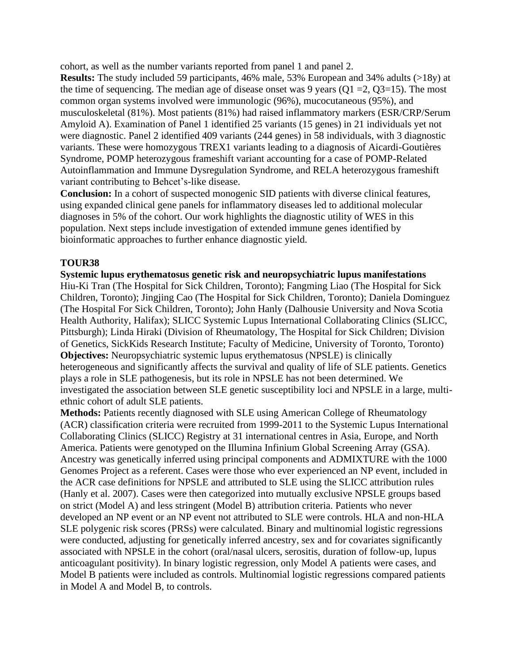cohort, as well as the number variants reported from panel 1 and panel 2.

**Results:** The study included 59 participants, 46% male, 53% European and 34% adults (>18y) at the time of sequencing. The median age of disease onset was 9 years ( $Q1 = 2$ ,  $Q3 = 15$ ). The most common organ systems involved were immunologic (96%), mucocutaneous (95%), and musculoskeletal (81%). Most patients (81%) had raised inflammatory markers (ESR/CRP/Serum Amyloid A). Examination of Panel 1 identified 25 variants (15 genes) in 21 individuals yet not were diagnostic. Panel 2 identified 409 variants (244 genes) in 58 individuals, with 3 diagnostic variants. These were homozygous TREX1 variants leading to a diagnosis of Aicardi-Goutières Syndrome, POMP heterozygous frameshift variant accounting for a case of POMP-Related Autoinflammation and Immune Dysregulation Syndrome, and RELA heterozygous frameshift variant contributing to Behcet's-like disease.

**Conclusion:** In a cohort of suspected monogenic SID patients with diverse clinical features, using expanded clinical gene panels for inflammatory diseases led to additional molecular diagnoses in 5% of the cohort. Our work highlights the diagnostic utility of WES in this population. Next steps include investigation of extended immune genes identified by bioinformatic approaches to further enhance diagnostic yield.

## **TOUR38**

**Systemic lupus erythematosus genetic risk and neuropsychiatric lupus manifestations** Hiu-Ki Tran (The Hospital for Sick Children, Toronto); Fangming Liao (The Hospital for Sick Children, Toronto); Jingjing Cao (The Hospital for Sick Children, Toronto); Daniela Dominguez (The Hospital For Sick Children, Toronto); John Hanly (Dalhousie University and Nova Scotia Health Authority, Halifax); SLICC Systemic Lupus International Collaborating Clinics (SLICC, Pittsburgh); Linda Hiraki (Division of Rheumatology, The Hospital for Sick Children; Division of Genetics, SickKids Research Institute; Faculty of Medicine, University of Toronto, Toronto) **Objectives:** Neuropsychiatric systemic lupus erythematosus (NPSLE) is clinically heterogeneous and significantly affects the survival and quality of life of SLE patients. Genetics plays a role in SLE pathogenesis, but its role in NPSLE has not been determined. We investigated the association between SLE genetic susceptibility loci and NPSLE in a large, multiethnic cohort of adult SLE patients.

**Methods:** Patients recently diagnosed with SLE using American College of Rheumatology (ACR) classification criteria were recruited from 1999-2011 to the Systemic Lupus International Collaborating Clinics (SLICC) Registry at 31 international centres in Asia, Europe, and North America. Patients were genotyped on the Illumina Infinium Global Screening Array (GSA). Ancestry was genetically inferred using principal components and ADMIXTURE with the 1000 Genomes Project as a referent. Cases were those who ever experienced an NP event, included in the ACR case definitions for NPSLE and attributed to SLE using the SLICC attribution rules (Hanly et al. 2007). Cases were then categorized into mutually exclusive NPSLE groups based on strict (Model A) and less stringent (Model B) attribution criteria. Patients who never developed an NP event or an NP event not attributed to SLE were controls. HLA and non-HLA SLE polygenic risk scores (PRSs) were calculated. Binary and multinomial logistic regressions were conducted, adjusting for genetically inferred ancestry, sex and for covariates significantly associated with NPSLE in the cohort (oral/nasal ulcers, serositis, duration of follow-up, lupus anticoagulant positivity). In binary logistic regression, only Model A patients were cases, and Model B patients were included as controls. Multinomial logistic regressions compared patients in Model A and Model B, to controls.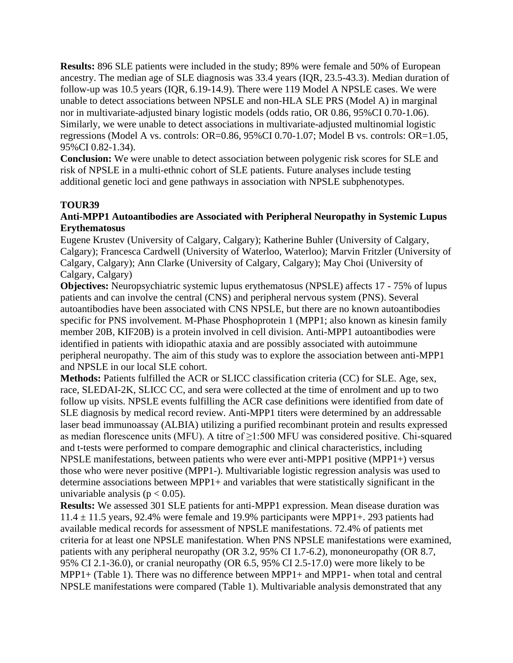**Results:** 896 SLE patients were included in the study; 89% were female and 50% of European ancestry. The median age of SLE diagnosis was 33.4 years (IQR, 23.5-43.3). Median duration of follow-up was 10.5 years (IQR, 6.19-14.9). There were 119 Model A NPSLE cases. We were unable to detect associations between NPSLE and non-HLA SLE PRS (Model A) in marginal nor in multivariate-adjusted binary logistic models (odds ratio, OR 0.86, 95%CI 0.70-1.06). Similarly, we were unable to detect associations in multivariate-adjusted multinomial logistic regressions (Model A vs. controls: OR=0.86, 95%CI 0.70-1.07; Model B vs. controls: OR=1.05, 95%CI 0.82-1.34).

**Conclusion:** We were unable to detect association between polygenic risk scores for SLE and risk of NPSLE in a multi-ethnic cohort of SLE patients. Future analyses include testing additional genetic loci and gene pathways in association with NPSLE subphenotypes.

### **TOUR39**

### **Anti-MPP1 Autoantibodies are Associated with Peripheral Neuropathy in Systemic Lupus Erythematosus**

Eugene Krustev (University of Calgary, Calgary); Katherine Buhler (University of Calgary, Calgary); Francesca Cardwell (University of Waterloo, Waterloo); Marvin Fritzler (University of Calgary, Calgary); Ann Clarke (University of Calgary, Calgary); May Choi (University of Calgary, Calgary)

**Objectives:** Neuropsychiatric systemic lupus erythematosus (NPSLE) affects 17 - 75% of lupus patients and can involve the central (CNS) and peripheral nervous system (PNS). Several autoantibodies have been associated with CNS NPSLE, but there are no known autoantibodies specific for PNS involvement. M-Phase Phosphoprotein 1 (MPP1; also known as kinesin family member 20B, KIF20B) is a protein involved in cell division. Anti-MPP1 autoantibodies were identified in patients with idiopathic ataxia and are possibly associated with autoimmune peripheral neuropathy. The aim of this study was to explore the association between anti-MPP1 and NPSLE in our local SLE cohort.

**Methods:** Patients fulfilled the ACR or SLICC classification criteria (CC) for SLE. Age, sex, race, SLEDAI-2K, SLICC CC, and sera were collected at the time of enrolment and up to two follow up visits. NPSLE events fulfilling the ACR case definitions were identified from date of SLE diagnosis by medical record review. Anti-MPP1 titers were determined by an addressable laser bead immunoassay (ALBIA) utilizing a purified recombinant protein and results expressed as median florescence units (MFU). A titre of ≥1:500 MFU was considered positive. Chi-squared and t-tests were performed to compare demographic and clinical characteristics, including NPSLE manifestations, between patients who were ever anti-MPP1 positive (MPP1+) versus those who were never positive (MPP1-). Multivariable logistic regression analysis was used to determine associations between MPP1+ and variables that were statistically significant in the univariable analysis ( $p < 0.05$ ).

**Results:** We assessed 301 SLE patients for anti-MPP1 expression. Mean disease duration was  $11.4 \pm 11.5$  years, 92.4% were female and 19.9% participants were MPP1+. 293 patients had available medical records for assessment of NPSLE manifestations. 72.4% of patients met criteria for at least one NPSLE manifestation. When PNS NPSLE manifestations were examined, patients with any peripheral neuropathy (OR 3.2, 95% CI 1.7-6.2), mononeuropathy (OR 8.7, 95% CI 2.1-36.0), or cranial neuropathy (OR 6.5, 95% CI 2.5-17.0) were more likely to be MPP1+ (Table 1). There was no difference between MPP1+ and MPP1- when total and central NPSLE manifestations were compared (Table 1). Multivariable analysis demonstrated that any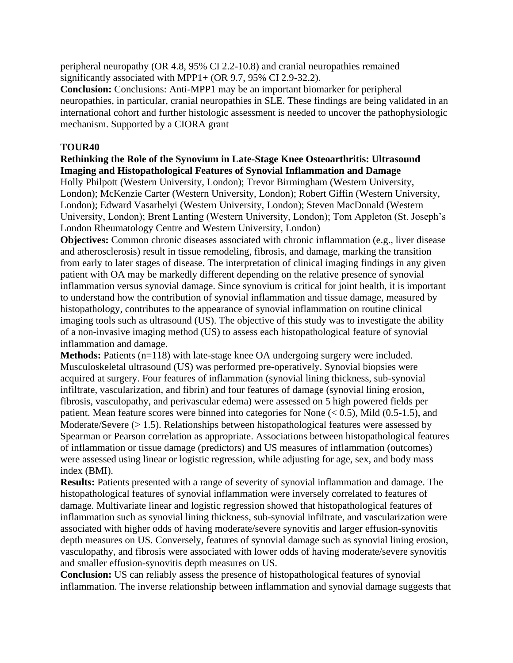peripheral neuropathy (OR 4.8, 95% CI 2.2-10.8) and cranial neuropathies remained significantly associated with MPP1+ (OR 9.7, 95% CI 2.9-32.2).

**Conclusion:** Conclusions: Anti-MPP1 may be an important biomarker for peripheral neuropathies, in particular, cranial neuropathies in SLE. These findings are being validated in an international cohort and further histologic assessment is needed to uncover the pathophysiologic mechanism. Supported by a CIORA grant

### **TOUR40**

### **Rethinking the Role of the Synovium in Late-Stage Knee Osteoarthritis: Ultrasound Imaging and Histopathological Features of Synovial Inflammation and Damage**

Holly Philpott (Western University, London); Trevor Birmingham (Western University, London); McKenzie Carter (Western University, London); Robert Giffin (Western University, London); Edward Vasarhelyi (Western University, London); Steven MacDonald (Western University, London); Brent Lanting (Western University, London); Tom Appleton (St. Joseph's London Rheumatology Centre and Western University, London)

**Objectives:** Common chronic diseases associated with chronic inflammation (e.g., liver disease and atherosclerosis) result in tissue remodeling, fibrosis, and damage, marking the transition from early to later stages of disease. The interpretation of clinical imaging findings in any given patient with OA may be markedly different depending on the relative presence of synovial inflammation versus synovial damage. Since synovium is critical for joint health, it is important to understand how the contribution of synovial inflammation and tissue damage, measured by histopathology, contributes to the appearance of synovial inflammation on routine clinical imaging tools such as ultrasound (US). The objective of this study was to investigate the ability of a non-invasive imaging method (US) to assess each histopathological feature of synovial inflammation and damage.

**Methods:** Patients (n=118) with late-stage knee OA undergoing surgery were included. Musculoskeletal ultrasound (US) was performed pre-operatively. Synovial biopsies were acquired at surgery. Four features of inflammation (synovial lining thickness, sub-synovial infiltrate, vascularization, and fibrin) and four features of damage (synovial lining erosion, fibrosis, vasculopathy, and perivascular edema) were assessed on 5 high powered fields per patient. Mean feature scores were binned into categories for None  $(< 0.5$ ), Mild  $(0.5-1.5)$ , and Moderate/Severe (> 1.5). Relationships between histopathological features were assessed by Spearman or Pearson correlation as appropriate. Associations between histopathological features of inflammation or tissue damage (predictors) and US measures of inflammation (outcomes) were assessed using linear or logistic regression, while adjusting for age, sex, and body mass index (BMI).

**Results:** Patients presented with a range of severity of synovial inflammation and damage. The histopathological features of synovial inflammation were inversely correlated to features of damage. Multivariate linear and logistic regression showed that histopathological features of inflammation such as synovial lining thickness, sub-synovial infiltrate, and vascularization were associated with higher odds of having moderate/severe synovitis and larger effusion-synovitis depth measures on US. Conversely, features of synovial damage such as synovial lining erosion, vasculopathy, and fibrosis were associated with lower odds of having moderate/severe synovitis and smaller effusion-synovitis depth measures on US.

**Conclusion:** US can reliably assess the presence of histopathological features of synovial inflammation. The inverse relationship between inflammation and synovial damage suggests that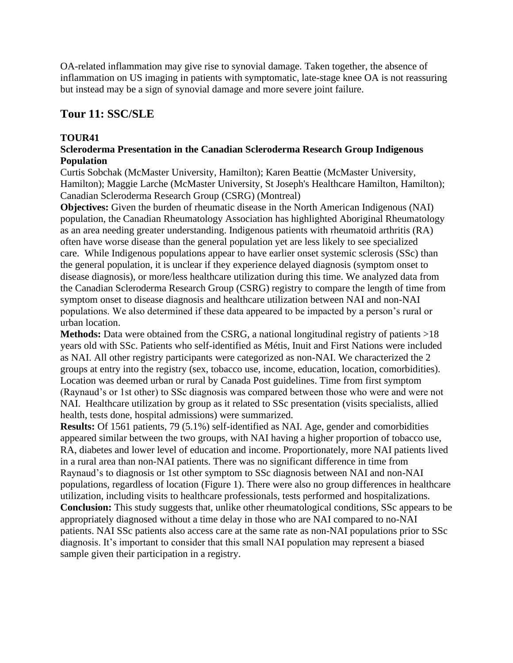OA-related inflammation may give rise to synovial damage. Taken together, the absence of inflammation on US imaging in patients with symptomatic, late-stage knee OA is not reassuring but instead may be a sign of synovial damage and more severe joint failure.

## **Tour 11: SSC/SLE**

### **TOUR41**

### **Scleroderma Presentation in the Canadian Scleroderma Research Group Indigenous Population**

Curtis Sobchak (McMaster University, Hamilton); Karen Beattie (McMaster University, Hamilton); Maggie Larche (McMaster University, St Joseph's Healthcare Hamilton, Hamilton); Canadian Scleroderma Research Group (CSRG) (Montreal)

**Objectives:** Given the burden of rheumatic disease in the North American Indigenous (NAI) population, the Canadian Rheumatology Association has highlighted Aboriginal Rheumatology as an area needing greater understanding. Indigenous patients with rheumatoid arthritis (RA) often have worse disease than the general population yet are less likely to see specialized care. While Indigenous populations appear to have earlier onset systemic sclerosis (SSc) than the general population, it is unclear if they experience delayed diagnosis (symptom onset to disease diagnosis), or more/less healthcare utilization during this time. We analyzed data from the Canadian Scleroderma Research Group (CSRG) registry to compare the length of time from symptom onset to disease diagnosis and healthcare utilization between NAI and non-NAI populations. We also determined if these data appeared to be impacted by a person's rural or urban location.

**Methods:** Data were obtained from the CSRG, a national longitudinal registry of patients >18 years old with SSc. Patients who self-identified as Métis, Inuit and First Nations were included as NAI. All other registry participants were categorized as non-NAI. We characterized the 2 groups at entry into the registry (sex, tobacco use, income, education, location, comorbidities). Location was deemed urban or rural by Canada Post guidelines. Time from first symptom (Raynaud's or 1st other) to SSc diagnosis was compared between those who were and were not NAI. Healthcare utilization by group as it related to SSc presentation (visits specialists, allied health, tests done, hospital admissions) were summarized.

**Results:** Of 1561 patients, 79 (5.1%) self-identified as NAI. Age, gender and comorbidities appeared similar between the two groups, with NAI having a higher proportion of tobacco use, RA, diabetes and lower level of education and income. Proportionately, more NAI patients lived in a rural area than non-NAI patients. There was no significant difference in time from Raynaud's to diagnosis or 1st other symptom to SSc diagnosis between NAI and non-NAI populations, regardless of location (Figure 1). There were also no group differences in healthcare utilization, including visits to healthcare professionals, tests performed and hospitalizations. **Conclusion:** This study suggests that, unlike other rheumatological conditions, SSc appears to be appropriately diagnosed without a time delay in those who are NAI compared to no-NAI patients. NAI SSc patients also access care at the same rate as non-NAI populations prior to SSc diagnosis. It's important to consider that this small NAI population may represent a biased sample given their participation in a registry.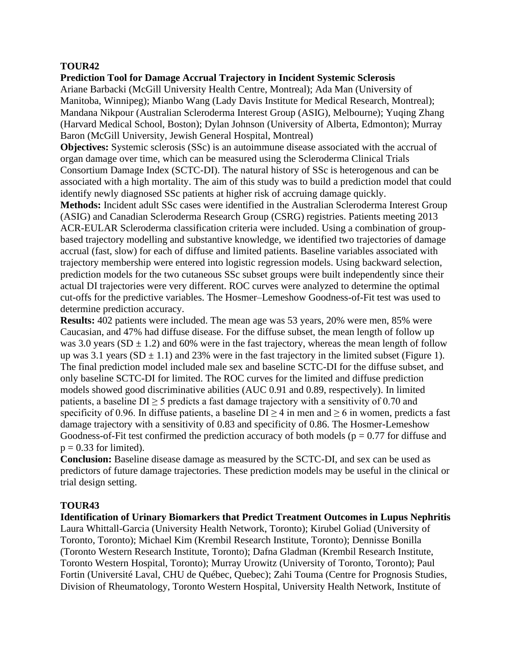**Prediction Tool for Damage Accrual Trajectory in Incident Systemic Sclerosis** Ariane Barbacki (McGill University Health Centre, Montreal); Ada Man (University of Manitoba, Winnipeg); Mianbo Wang (Lady Davis Institute for Medical Research, Montreal); Mandana Nikpour (Australian Scleroderma Interest Group (ASIG), Melbourne); Yuqing Zhang (Harvard Medical School, Boston); Dylan Johnson (University of Alberta, Edmonton); Murray Baron (McGill University, Jewish General Hospital, Montreal)

**Objectives:** Systemic sclerosis (SSc) is an autoimmune disease associated with the accrual of organ damage over time, which can be measured using the Scleroderma Clinical Trials Consortium Damage Index (SCTC-DI). The natural history of SSc is heterogenous and can be associated with a high mortality. The aim of this study was to build a prediction model that could identify newly diagnosed SSc patients at higher risk of accruing damage quickly.

**Methods:** Incident adult SSc cases were identified in the Australian Scleroderma Interest Group (ASIG) and Canadian Scleroderma Research Group (CSRG) registries. Patients meeting 2013 ACR-EULAR Scleroderma classification criteria were included. Using a combination of groupbased trajectory modelling and substantive knowledge, we identified two trajectories of damage accrual (fast, slow) for each of diffuse and limited patients. Baseline variables associated with trajectory membership were entered into logistic regression models. Using backward selection, prediction models for the two cutaneous SSc subset groups were built independently since their actual DI trajectories were very different. ROC curves were analyzed to determine the optimal cut-offs for the predictive variables. The Hosmer–Lemeshow Goodness-of-Fit test was used to determine prediction accuracy.

**Results:** 402 patients were included. The mean age was 53 years, 20% were men, 85% were Caucasian, and 47% had diffuse disease. For the diffuse subset, the mean length of follow up was 3.0 years (SD  $\pm$  1.2) and 60% were in the fast trajectory, whereas the mean length of follow up was 3.1 years  $(SD \pm 1.1)$  and 23% were in the fast trajectory in the limited subset (Figure 1). The final prediction model included male sex and baseline SCTC-DI for the diffuse subset, and only baseline SCTC-DI for limited. The ROC curves for the limited and diffuse prediction models showed good discriminative abilities (AUC 0.91 and 0.89, respectively). In limited patients, a baseline  $DI > 5$  predicts a fast damage trajectory with a sensitivity of 0.70 and specificity of 0.96. In diffuse patients, a baseline  $DI \ge 4$  in men and  $\ge 6$  in women, predicts a fast damage trajectory with a sensitivity of 0.83 and specificity of 0.86. The Hosmer-Lemeshow Goodness-of-Fit test confirmed the prediction accuracy of both models ( $p = 0.77$  for diffuse and  $p = 0.33$  for limited).

**Conclusion:** Baseline disease damage as measured by the SCTC-DI, and sex can be used as predictors of future damage trajectories. These prediction models may be useful in the clinical or trial design setting.

### **TOUR43**

**Identification of Urinary Biomarkers that Predict Treatment Outcomes in Lupus Nephritis** Laura Whittall-Garcia (University Health Network, Toronto); Kirubel Goliad (University of Toronto, Toronto); Michael Kim (Krembil Research Institute, Toronto); Dennisse Bonilla (Toronto Western Research Institute, Toronto); Dafna Gladman (Krembil Research Institute, Toronto Western Hospital, Toronto); Murray Urowitz (University of Toronto, Toronto); Paul Fortin (Université Laval, CHU de Québec, Quebec); Zahi Touma (Centre for Prognosis Studies, Division of Rheumatology, Toronto Western Hospital, University Health Network, Institute of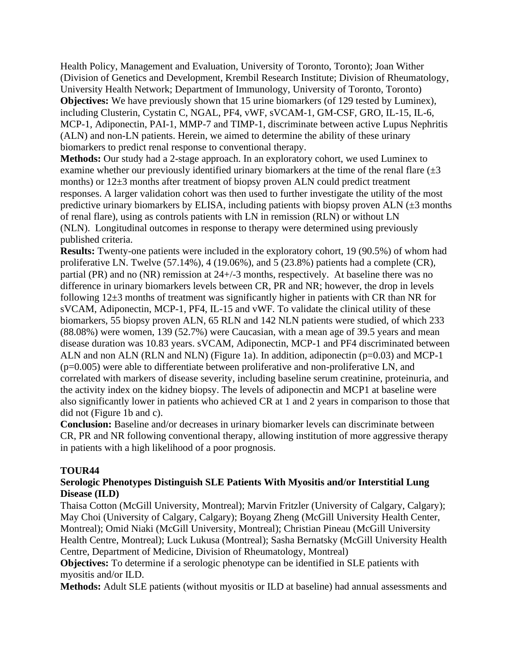Health Policy, Management and Evaluation, University of Toronto, Toronto); Joan Wither (Division of Genetics and Development, Krembil Research Institute; Division of Rheumatology, University Health Network; Department of Immunology, University of Toronto, Toronto) **Objectives:** We have previously shown that 15 urine biomarkers (of 129 tested by Luminex), including Clusterin, Cystatin C, NGAL, PF4, vWF, sVCAM-1, GM-CSF, GRO, IL-15, IL-6, MCP-1, Adiponectin, PAI-1, MMP-7 and TIMP-1, discriminate between active Lupus Nephritis (ALN) and non-LN patients. Herein, we aimed to determine the ability of these urinary biomarkers to predict renal response to conventional therapy.

**Methods:** Our study had a 2-stage approach. In an exploratory cohort, we used Luminex to examine whether our previously identified urinary biomarkers at the time of the renal flare  $(\pm 3)$ months) or 12±3 months after treatment of biopsy proven ALN could predict treatment responses. A larger validation cohort was then used to further investigate the utility of the most predictive urinary biomarkers by ELISA, including patients with biopsy proven ALN  $(\pm 3$  months of renal flare), using as controls patients with LN in remission (RLN) or without LN (NLN). Longitudinal outcomes in response to therapy were determined using previously published criteria.

**Results:** Twenty-one patients were included in the exploratory cohort, 19 (90.5%) of whom had proliferative LN. Twelve (57.14%), 4 (19.06%), and 5 (23.8%) patients had a complete (CR), partial (PR) and no (NR) remission at 24+/-3 months, respectively. At baseline there was no difference in urinary biomarkers levels between CR, PR and NR; however, the drop in levels following 12±3 months of treatment was significantly higher in patients with CR than NR for sVCAM, Adiponectin, MCP-1, PF4, IL-15 and vWF. To validate the clinical utility of these biomarkers, 55 biopsy proven ALN, 65 RLN and 142 NLN patients were studied, of which 233 (88.08%) were women, 139 (52.7%) were Caucasian, with a mean age of 39.5 years and mean disease duration was 10.83 years. sVCAM, Adiponectin, MCP-1 and PF4 discriminated between ALN and non ALN (RLN and NLN) (Figure 1a). In addition, adiponectin (p=0.03) and MCP-1  $(p=0.005)$  were able to differentiate between proliferative and non-proliferative LN, and correlated with markers of disease severity, including baseline serum creatinine, proteinuria, and the activity index on the kidney biopsy. The levels of adiponectin and MCP1 at baseline were also significantly lower in patients who achieved CR at 1 and 2 years in comparison to those that did not (Figure 1b and c).

**Conclusion:** Baseline and/or decreases in urinary biomarker levels can discriminate between CR, PR and NR following conventional therapy, allowing institution of more aggressive therapy in patients with a high likelihood of a poor prognosis.

### **TOUR44**

### **Serologic Phenotypes Distinguish SLE Patients With Myositis and/or Interstitial Lung Disease (ILD)**

Thaisa Cotton (McGill University, Montreal); Marvin Fritzler (University of Calgary, Calgary); May Choi (University of Calgary, Calgary); Boyang Zheng (McGill University Health Center, Montreal); Omid Niaki (McGill University, Montreal); Christian Pineau (McGill University Health Centre, Montreal); Luck Lukusa (Montreal); Sasha Bernatsky (McGill University Health Centre, Department of Medicine, Division of Rheumatology, Montreal)

**Objectives:** To determine if a serologic phenotype can be identified in SLE patients with myositis and/or ILD.

**Methods:** Adult SLE patients (without myositis or ILD at baseline) had annual assessments and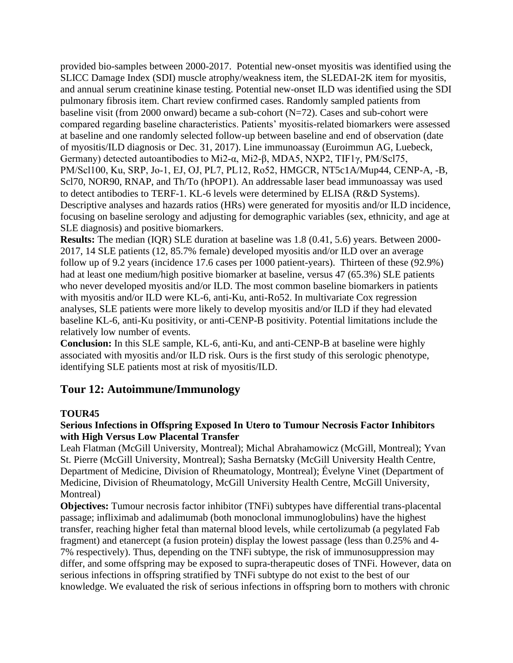provided bio-samples between 2000-2017. Potential new-onset myositis was identified using the SLICC Damage Index (SDI) muscle atrophy/weakness item, the SLEDAI-2K item for myositis, and annual serum creatinine kinase testing. Potential new-onset ILD was identified using the SDI pulmonary fibrosis item. Chart review confirmed cases. Randomly sampled patients from baseline visit (from 2000 onward) became a sub-cohort (N=72). Cases and sub-cohort were compared regarding baseline characteristics. Patients' myositis-related biomarkers were assessed at baseline and one randomly selected follow-up between baseline and end of observation (date of myositis/ILD diagnosis or Dec. 31, 2017). Line immunoassay (Euroimmun AG, Luebeck, Germany) detected autoantibodies to Mi2‐α, Mi2-β, MDA5, NXP2, TIF1γ, PM/Scl75, PM/Scl100, Ku, SRP, Jo‐1, EJ, OJ, PL7, PL12, Ro52, HMGCR, NT5c1A/Mup44, CENP-A, -B, Scl70, NOR90, RNAP, and Th/To (hPOP1). An addressable laser bead immunoassay was used to detect antibodies to TERF-1. KL-6 levels were determined by ELISA (R&D Systems). Descriptive analyses and hazards ratios (HRs) were generated for myositis and/or ILD incidence, focusing on baseline serology and adjusting for demographic variables (sex, ethnicity, and age at SLE diagnosis) and positive biomarkers.

**Results:** The median (IQR) SLE duration at baseline was 1.8 (0.41, 5.6) years. Between 2000- 2017, 14 SLE patients (12, 85.7% female) developed myositis and/or ILD over an average follow up of 9.2 years (incidence 17.6 cases per 1000 patient-years). Thirteen of these (92.9%) had at least one medium/high positive biomarker at baseline, versus 47 (65.3%) SLE patients who never developed myositis and/or ILD. The most common baseline biomarkers in patients with myositis and/or ILD were KL-6, anti-Ku, anti-Ro52. In multivariate Cox regression analyses, SLE patients were more likely to develop myositis and/or ILD if they had elevated baseline KL-6, anti-Ku positivity, or anti-CENP-B positivity. Potential limitations include the relatively low number of events.

**Conclusion:** In this SLE sample, KL-6, anti-Ku, and anti-CENP-B at baseline were highly associated with myositis and/or ILD risk. Ours is the first study of this serologic phenotype, identifying SLE patients most at risk of myositis/ILD.

## **Tour 12: Autoimmune/Immunology**

### **TOUR45**

### **Serious Infections in Offspring Exposed In Utero to Tumour Necrosis Factor Inhibitors with High Versus Low Placental Transfer**

Leah Flatman (McGill University, Montreal); Michal Abrahamowicz (McGill, Montreal); Yvan St. Pierre (McGill University, Montreal); Sasha Bernatsky (McGill University Health Centre, Department of Medicine, Division of Rheumatology, Montreal); Évelyne Vinet (Department of Medicine, Division of Rheumatology, McGill University Health Centre, McGill University, Montreal)

**Objectives:** Tumour necrosis factor inhibitor (TNFi) subtypes have differential trans-placental passage; infliximab and adalimumab (both monoclonal immunoglobulins) have the highest transfer, reaching higher fetal than maternal blood levels, while certolizumab (a pegylated Fab fragment) and etanercept (a fusion protein) display the lowest passage (less than 0.25% and 4- 7% respectively). Thus, depending on the TNFi subtype, the risk of immunosuppression may differ, and some offspring may be exposed to supra-therapeutic doses of TNFi. However, data on serious infections in offspring stratified by TNFi subtype do not exist to the best of our knowledge. We evaluated the risk of serious infections in offspring born to mothers with chronic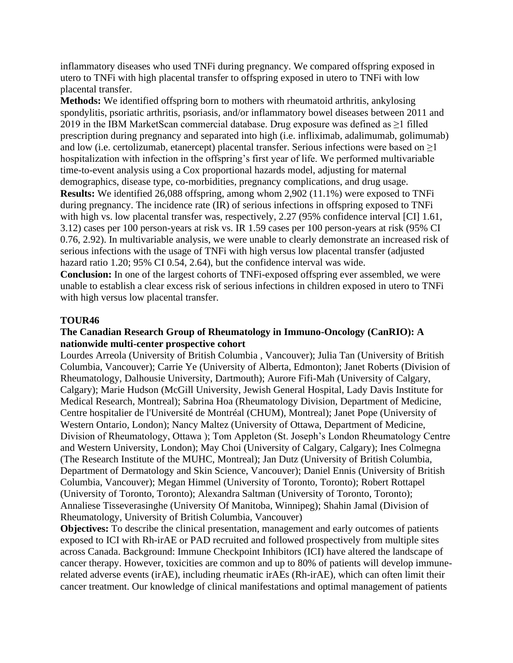inflammatory diseases who used TNFi during pregnancy. We compared offspring exposed in utero to TNFi with high placental transfer to offspring exposed in utero to TNFi with low placental transfer.

**Methods:** We identified offspring born to mothers with rheumatoid arthritis, ankylosing spondylitis, psoriatic arthritis, psoriasis, and/or inflammatory bowel diseases between 2011 and 2019 in the IBM MarketScan commercial database. Drug exposure was defined as  $\geq$ 1 filled prescription during pregnancy and separated into high (i.e. infliximab, adalimumab, golimumab) and low (i.e. certolizumab, etanercept) placental transfer. Serious infections were based on  $\geq$ 1 hospitalization with infection in the offspring's first year of life. We performed multivariable time-to-event analysis using a Cox proportional hazards model, adjusting for maternal demographics, disease type, co-morbidities, pregnancy complications, and drug usage. **Results:** We identified 26,088 offspring, among whom 2,902 (11.1%) were exposed to TNFi during pregnancy. The incidence rate (IR) of serious infections in offspring exposed to TNFi with high vs. low placental transfer was, respectively, 2.27 (95% confidence interval [CI] 1.61, 3.12) cases per 100 person-years at risk vs. IR 1.59 cases per 100 person-years at risk (95% CI 0.76, 2.92). In multivariable analysis, we were unable to clearly demonstrate an increased risk of serious infections with the usage of TNFi with high versus low placental transfer (adjusted hazard ratio 1.20; 95% CI 0.54, 2.64), but the confidence interval was wide.

**Conclusion:** In one of the largest cohorts of TNFi-exposed offspring ever assembled, we were unable to establish a clear excess risk of serious infections in children exposed in utero to TNFi with high versus low placental transfer.

### **TOUR46**

### **The Canadian Research Group of Rheumatology in Immuno-Oncology (CanRIO): A nationwide multi-center prospective cohort**

Lourdes Arreola (University of British Columbia , Vancouver); Julia Tan (University of British Columbia, Vancouver); Carrie Ye (University of Alberta, Edmonton); Janet Roberts (Division of Rheumatology, Dalhousie University, Dartmouth); Aurore Fifi-Mah (University of Calgary, Calgary); Marie Hudson (McGill University, Jewish General Hospital, Lady Davis Institute for Medical Research, Montreal); Sabrina Hoa (Rheumatology Division, Department of Medicine, Centre hospitalier de l'Université de Montréal (CHUM), Montreal); Janet Pope (University of Western Ontario, London); Nancy Maltez (University of Ottawa, Department of Medicine, Division of Rheumatology, Ottawa ); Tom Appleton (St. Joseph's London Rheumatology Centre and Western University, London); May Choi (University of Calgary, Calgary); Ines Colmegna (The Research Institute of the MUHC, Montreal); Jan Dutz (University of British Columbia, Department of Dermatology and Skin Science, Vancouver); Daniel Ennis (University of British Columbia, Vancouver); Megan Himmel (University of Toronto, Toronto); Robert Rottapel (University of Toronto, Toronto); Alexandra Saltman (University of Toronto, Toronto); Annaliese Tisseverasinghe (University Of Manitoba, Winnipeg); Shahin Jamal (Division of Rheumatology, University of British Columbia, Vancouver)

**Objectives:** To describe the clinical presentation, management and early outcomes of patients exposed to ICI with Rh-irAE or PAD recruited and followed prospectively from multiple sites across Canada. Background: Immune Checkpoint Inhibitors (ICI) have altered the landscape of cancer therapy. However, toxicities are common and up to 80% of patients will develop immunerelated adverse events (irAE), including rheumatic irAEs (Rh-irAE), which can often limit their cancer treatment. Our knowledge of clinical manifestations and optimal management of patients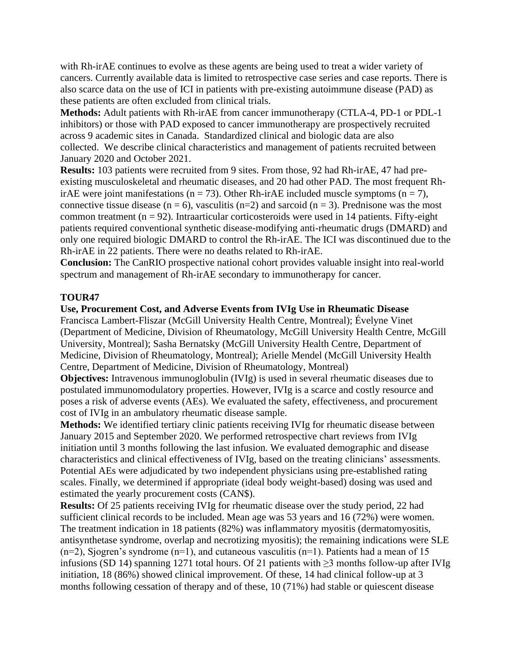with Rh-irAE continues to evolve as these agents are being used to treat a wider variety of cancers. Currently available data is limited to retrospective case series and case reports. There is also scarce data on the use of ICI in patients with pre-existing autoimmune disease (PAD) as these patients are often excluded from clinical trials.

**Methods:** Adult patients with Rh-irAE from cancer immunotherapy (CTLA-4, PD-1 or PDL-1 inhibitors) or those with PAD exposed to cancer immunotherapy are prospectively recruited across 9 academic sites in Canada. Standardized clinical and biologic data are also collected. We describe clinical characteristics and management of patients recruited between January 2020 and October 2021.

**Results:** 103 patients were recruited from 9 sites. From those, 92 had Rh-irAE, 47 had preexisting musculoskeletal and rheumatic diseases, and 20 had other PAD. The most frequent RhirAE were joint manifestations ( $n = 73$ ). Other Rh-irAE included muscle symptoms ( $n = 7$ ), connective tissue disease ( $n = 6$ ), vasculitis ( $n=2$ ) and sarcoid ( $n = 3$ ). Prednisone was the most common treatment ( $n = 92$ ). Intraarticular corticosteroids were used in 14 patients. Fifty-eight patients required conventional synthetic disease-modifying anti-rheumatic drugs (DMARD) and only one required biologic DMARD to control the Rh-irAE. The ICI was discontinued due to the Rh-irAE in 22 patients. There were no deaths related to Rh-irAE.

**Conclusion:** The CanRIO prospective national cohort provides valuable insight into real-world spectrum and management of Rh-irAE secondary to immunotherapy for cancer.

### **TOUR47**

#### **Use, Procurement Cost, and Adverse Events from IVIg Use in Rheumatic Disease**

Francisca Lambert-Fliszar (McGill University Health Centre, Montreal); Évelyne Vinet (Department of Medicine, Division of Rheumatology, McGill University Health Centre, McGill University, Montreal); Sasha Bernatsky (McGill University Health Centre, Department of Medicine, Division of Rheumatology, Montreal); Arielle Mendel (McGill University Health Centre, Department of Medicine, Division of Rheumatology, Montreal)

**Objectives:** Intravenous immunoglobulin (IVIg) is used in several rheumatic diseases due to postulated immunomodulatory properties. However, IVIg is a scarce and costly resource and poses a risk of adverse events (AEs). We evaluated the safety, effectiveness, and procurement cost of IVIg in an ambulatory rheumatic disease sample.

**Methods:** We identified tertiary clinic patients receiving IVIg for rheumatic disease between January 2015 and September 2020. We performed retrospective chart reviews from IVIg initiation until 3 months following the last infusion. We evaluated demographic and disease characteristics and clinical effectiveness of IVIg, based on the treating clinicians' assessments. Potential AEs were adjudicated by two independent physicians using pre-established rating scales. Finally, we determined if appropriate (ideal body weight-based) dosing was used and estimated the yearly procurement costs (CAN\$).

**Results:** Of 25 patients receiving IVIg for rheumatic disease over the study period, 22 had sufficient clinical records to be included. Mean age was 53 years and 16 (72%) were women. The treatment indication in 18 patients (82%) was inflammatory myositis (dermatomyositis, antisynthetase syndrome, overlap and necrotizing myositis); the remaining indications were SLE  $(n=2)$ , Sjogren's syndrome  $(n=1)$ , and cutaneous vasculitis  $(n=1)$ . Patients had a mean of 15 infusions (SD 14) spanning 1271 total hours. Of 21 patients with ≥3 months follow-up after IVIg initiation, 18 (86%) showed clinical improvement. Of these, 14 had clinical follow-up at 3 months following cessation of therapy and of these, 10 (71%) had stable or quiescent disease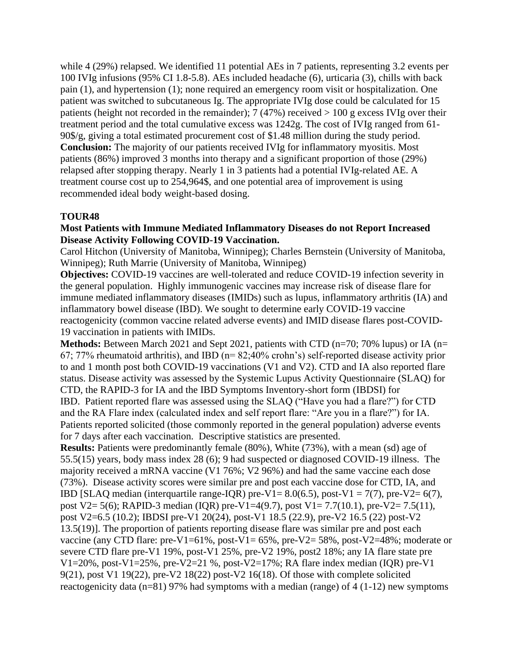while 4 (29%) relapsed. We identified 11 potential AEs in 7 patients, representing 3.2 events per 100 IVIg infusions (95% CI 1.8-5.8). AEs included headache (6), urticaria (3), chills with back pain (1), and hypertension (1); none required an emergency room visit or hospitalization. One patient was switched to subcutaneous Ig. The appropriate IVIg dose could be calculated for 15 patients (height not recorded in the remainder); 7 (47%) received  $> 100$  g excess IVIg over their treatment period and the total cumulative excess was 1242g. The cost of IVIg ranged from 61- 90\$/g, giving a total estimated procurement cost of \$1.48 million during the study period. **Conclusion:** The majority of our patients received IVIg for inflammatory myositis. Most patients (86%) improved 3 months into therapy and a significant proportion of those (29%) relapsed after stopping therapy. Nearly 1 in 3 patients had a potential IVIg-related AE. A treatment course cost up to 254,964\$, and one potential area of improvement is using recommended ideal body weight-based dosing.

#### **TOUR48**

#### **Most Patients with Immune Mediated Inflammatory Diseases do not Report Increased Disease Activity Following COVID-19 Vaccination.**

Carol Hitchon (University of Manitoba, Winnipeg); Charles Bernstein (University of Manitoba, Winnipeg); Ruth Marrie (University of Manitoba, Winnipeg)

**Objectives:** COVID-19 vaccines are well-tolerated and reduce COVID-19 infection severity in the general population. Highly immunogenic vaccines may increase risk of disease flare for immune mediated inflammatory diseases (IMIDs) such as lupus, inflammatory arthritis (IA) and inflammatory bowel disease (IBD). We sought to determine early COVID-19 vaccine reactogenicity (common vaccine related adverse events) and IMID disease flares post-COVID-19 vaccination in patients with IMIDs.

**Methods:** Between March 2021 and Sept 2021, patients with CTD (n=70; 70% lupus) or IA (n= 67; 77% rheumatoid arthritis), and IBD (n= 82;40% crohn's) self-reported disease activity prior to and 1 month post both COVID-19 vaccinations (V1 and V2). CTD and IA also reported flare status. Disease activity was assessed by the Systemic Lupus Activity Questionnaire (SLAQ) for CTD, the RAPID-3 for IA and the IBD Symptoms Inventory-short form (IBDSI) for IBD. Patient reported flare was assessed using the SLAQ ("Have you had a flare?") for CTD and the RA Flare index (calculated index and self report flare: "Are you in a flare?") for IA. Patients reported solicited (those commonly reported in the general population) adverse events for 7 days after each vaccination. Descriptive statistics are presented.

**Results:** Patients were predominantly female (80%), White (73%), with a mean (sd) age of 55.5(15) years, body mass index 28 (6); 9 had suspected or diagnosed COVID-19 illness. The majority received a mRNA vaccine (V1 76%; V2 96%) and had the same vaccine each dose (73%). Disease activity scores were similar pre and post each vaccine dose for CTD, IA, and IBD [SLAQ median (interquartile range-IQR) pre-V1=  $8.0(6.5)$ , post-V1 = 7(7), pre-V2= 6(7), post V2= 5(6); RAPID-3 median (IQR) pre-V1=4(9.7), post V1= 7.7(10.1), pre-V2= 7.5(11), post V2=6.5 (10.2); IBDSI pre-V1 20(24), post-V1 18.5 (22.9), pre-V2 16.5 (22) post-V2 13.5(19)]. The proportion of patients reporting disease flare was similar pre and post each vaccine (any CTD flare: pre-V1= $61\%$ , post-V1= $65\%$ , pre-V2= $58\%$ , post-V2= $48\%$ ; moderate or severe CTD flare pre-V1 19%, post-V1 25%, pre-V2 19%, post2 18%; any IA flare state pre V1=20%, post-V1=25%, pre-V2=21 %, post-V2=17%; RA flare index median (IQR) pre-V1 9(21), post V1 19(22), pre-V2 18(22) post-V2 16(18). Of those with complete solicited reactogenicity data (n=81) 97% had symptoms with a median (range) of 4 (1-12) new symptoms